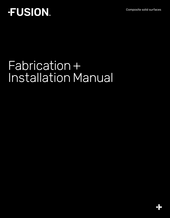Composite solid surfaces

## **FUSION**

## Fabrication + Installation Manual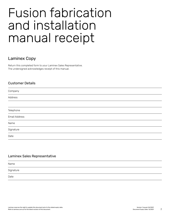## Fusion fabrication and installation manual receipt

## Laminex Copy

Return this completed form to your Laminex Sales Representative. The undersigned acknowledges receipt of this manual.

#### Customer Details

| Company                                    |  |
|--------------------------------------------|--|
| Address                                    |  |
|                                            |  |
| Telephone<br>the control of the control of |  |
| Email Address                              |  |
| Name                                       |  |
| Signature                                  |  |
| Date                                       |  |

#### Laminex Sales Representative

| Name      |  |
|-----------|--|
| Signature |  |
| Date      |  |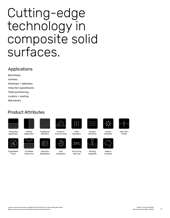## Cutting-edge technology in composite solid surfaces.

## Applications

Benchtops Vanities Desktops + tabletops Induction splashbacks Toilet partitioning Lockers + seating Wall panels

## Product Attributes



Horizontal Application





UV Stable Indoor Use







3.6m









Made in Australia







Profile



**SuperMatte** Finish



Induction **Splashback** 



Fast Installation

Routing **Capability** 

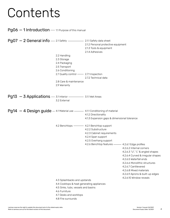## Contents

 $Pg06-1$  Introduction — 1.1 Purpose of this manual

Pg07 — 2 General info 2.1 Safety 2.1.1 Safety data sheet  $Pg13 - 3$  Applications  $-$  3.1 Interior  $-$  3.1.1 Wet Areas  $Pg14 - 4$  Design guide  $-$  4.1 Material use  $-$  4.1.1 Conditioning of material 2.2 Handling 2.3 Storage 2.4 Packaging 2.5 Transport 2.6 Conditioning 2.7 Quality control 2.7.1 Inspection 2.8 Care & maintenance 2.9 Warranty 3.2 External 2.1.2 Personal protective equipment 2.1.3 Tools & equipment 2.1.4 Adhesives 2.7.2 Technical data 4.2 Benchtops 4.1.2 Directionality 4.1.3 Expansion gaps & dimensional tolerance  $-$  4.2.1 Benchtop support 4.2.2 Substructure 4.2.3 Cabinet requirements 4.2.4 Span support 4.2.5 Overhang support 4.2.6 Benchtop features - 4.2.6.1 Edge profiles 4.2.6.2 Internal corners 4.2.6.3 "U", "L" & angled shapes 4.2.6.4 Curved & irregular shapes 4.2.6.5 Waterfall ends 4.2.6.6 Monolithic structures 4.2.6.7 Cantilevered 4.2.6.8 Mixed materials 4.2.6.9 Aprons & built-up edges 4.2.6.10 Window reveals 4.3 Splashbacks and upstands 4.4 Cooktops & heat generating appliances 4.5 Sinks, tubs, vessels and basins 4.6 Furniture 4.7 Desks and worktops 4.8 Fire surrounds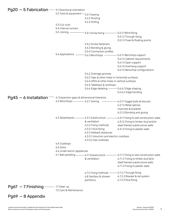| Pg20 - 5 Fabrication - 5.1 Directional orientation |                                                                               |                                                 |                                                                                    |  |
|----------------------------------------------------|-------------------------------------------------------------------------------|-------------------------------------------------|------------------------------------------------------------------------------------|--|
|                                                    | 5.2 Tools & equipment - 5.2.1 Sawing                                          |                                                 |                                                                                    |  |
|                                                    |                                                                               | 5.2.2 Routing                                   |                                                                                    |  |
|                                                    |                                                                               | 5.2.3 Drilling                                  |                                                                                    |  |
|                                                    | 5.3 Cut-outs                                                                  |                                                 |                                                                                    |  |
|                                                    | 5.4 Internal corners                                                          |                                                 |                                                                                    |  |
|                                                    | 5.5 Joining -                                                                 | 5.5.1 Screw fixing -                            | $-$ 5.5.1.1 Blind fixing                                                           |  |
|                                                    |                                                                               |                                                 | 5.5.1.2 Through fixing                                                             |  |
|                                                    |                                                                               |                                                 | 5.5.1.3 Fixed & floating points                                                    |  |
|                                                    |                                                                               | 5.5.2 Screw fasteners                           |                                                                                    |  |
|                                                    |                                                                               | 5.5.3 Bonding & gluing                          |                                                                                    |  |
|                                                    |                                                                               | 5.5.4 Connection profiles                       |                                                                                    |  |
|                                                    | 5.6 Applications -                                                            | - 5.6.1 Benchtops - 5.6.1.1 Benchtop support    |                                                                                    |  |
|                                                    |                                                                               |                                                 | 5.6.1.2 Cabinet requirements                                                       |  |
|                                                    |                                                                               |                                                 | 5.6.1.3 Span support                                                               |  |
|                                                    |                                                                               |                                                 | 5.6.1.4 Overhang support                                                           |  |
|                                                    |                                                                               |                                                 | 5.6.1.5 Benchtop configurations                                                    |  |
|                                                    |                                                                               | 5.6.2 Drainage grooves                          |                                                                                    |  |
|                                                    |                                                                               | 5.6.3 Taps & other holes in horizontal surfaces |                                                                                    |  |
|                                                    |                                                                               | 5.6.4 GPOs & other holes in vertical surfaces   |                                                                                    |  |
|                                                    |                                                                               | 5.6.5 Tabletops & worktops                      |                                                                                    |  |
|                                                    |                                                                               | 5.6.6 Edge detailing - 5.6.6.1 Edge shaping     |                                                                                    |  |
|                                                    |                                                                               |                                                 | 5.6.6.2 Edge bonding                                                               |  |
|                                                    |                                                                               |                                                 |                                                                                    |  |
| $Pg45 - 6$ Installation —                          | 6.1 Expansion gaps & dimensional tolerance<br>6.2 Benchtops - 6.2.1 Joining - |                                                 |                                                                                    |  |
|                                                    |                                                                               |                                                 | -6.2.1.1 Toggle bolts & biscuits<br>6.2.1.2 Metal splines,                         |  |
|                                                    |                                                                               |                                                 | channels & brackets                                                                |  |
|                                                    |                                                                               |                                                 | 6.2.1.3 Bonding and gluing                                                         |  |
|                                                    |                                                                               |                                                 |                                                                                    |  |
|                                                    | 6.3 Splashbacks - 6.3.1 Substructure -                                        |                                                 | -6.3.1.1 Fixing to wet construction walls                                          |  |
|                                                    |                                                                               | & ventilation                                   | 6.3.1.2 Fixing to timber stud and/or                                               |  |
|                                                    |                                                                               | 6.3.2 Fixing methods                            | steel framed substructure walls                                                    |  |
|                                                    |                                                                               | 6.3.2.1 Glue fixing                             | 6.3.1.3 Fixing to plaster walls                                                    |  |
|                                                    |                                                                               | 6.3.3 Setback distances                         |                                                                                    |  |
|                                                    |                                                                               | 6.3.3.1 Induction and electric cooktops         |                                                                                    |  |
|                                                    |                                                                               | 6.3.3.2 Gas cooktops                            |                                                                                    |  |
|                                                    | 6.4 Cooktops                                                                  |                                                 |                                                                                    |  |
|                                                    | 6.5 Sinks                                                                     |                                                 |                                                                                    |  |
|                                                    | 6.6 Under bench appliances                                                    |                                                 |                                                                                    |  |
|                                                    |                                                                               |                                                 | 6.7 Wall panelling - 6.7.1 Substructure - 6.7.1.1 Fixing to wet construction walls |  |
|                                                    |                                                                               | & ventilation                                   | 6.7.1.2 Fixing to timber stud &/or                                                 |  |
|                                                    |                                                                               |                                                 | steel framed substructure walls                                                    |  |
|                                                    |                                                                               |                                                 | 6.7.1.3 Fixing to plaster walls                                                    |  |
|                                                    |                                                                               | 6.7.2 Fixing methods - 6.7.2.1 Through fixing   |                                                                                    |  |
|                                                    |                                                                               | 6.8 Sanitary & shower                           | 6.7.2.2 Bracket & rail system                                                      |  |
|                                                    |                                                                               | partitions                                      | 6.7.2.3 Glue fixing                                                                |  |
|                                                    |                                                                               |                                                 |                                                                                    |  |
| $Pg67 - 7$ Finishing $\frac{1}{2}$ 7.1 Clean up    |                                                                               |                                                 |                                                                                    |  |
|                                                    | 7.2 Care & Maintenance                                                        |                                                 |                                                                                    |  |
|                                                    |                                                                               |                                                 |                                                                                    |  |
| $Pg69 - 8$ Appendix                                |                                                                               |                                                 |                                                                                    |  |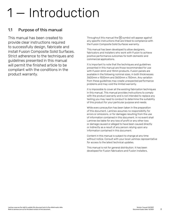# - Introduction

## 1.1 Purpose of this manual

This manual has been created to provide clear instructions required to successfully design, fabricate and install Fusion Composite Solid Surfaces. Strict adherence to the techniques and guidelines presented in this manual will permit the finished article to be compliant with the conditions in the product warranty.

Throughout this manual the  $(w)$  symbol will appear against any specific instructions that are linked to compliance with the Fusion Composite Solid Surfaces warranty.

This manual has been developed to allow designers, fabricators and installers who work with Fusion to achieve positive performance outcomes for both domestic and commercial applications.

It is important to note that the techniques and guidelines presented in this manual are those recommended for use with Fusion 6mm and 13mm products. Fusion panels are available in the following nominal sizes, in both thicknesses: 3600mm x 1500mm and 3600mm x 750mm. Any variation from these guidelines may create unexpected performance problems and may void the limited warranty.

It is impossible to cover all the existing fabrication techniques in this manual. This manual provides instructions to comply with the product warranty and is not intended to replace any testing you may need to conduct to determine the suitability of this product for your particular purpose and needs.

While every precaution has been taken in the preparation of this document, Laminex assumes no responsibility for errors or omissions, or for damages resulting from the use of information contained in this document. In no event shall Laminex be liable for any loss of profit or any other loss or damage caused or alleged to have been caused directly or indirectly as a result of any person relying upon any information contained in this document.

Content in this manual is subject to change at any time without notice. Consult with your local Laminex representative for access to the latest technical updates.

This manual is not for general distribution. It has been developed for Fusion fabricators and Fusion installers.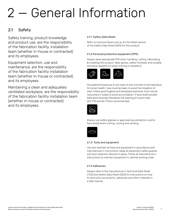# 2 — General Information

## 2.1 Safety

Safety training, product knowledge and product use, are the responsibility of the fabrication facility, installation team (whether in-house or contracted) and its employees.

Equipment selection, use and maintenance, are the responsibility of the fabrication facility installation team (whether in-house or contracted) and its employees.

Maintaining a clean and adequately ventilated workplace, are the responsibility of the fabrication facility installation team (whether in-house or contracted) and its employees.

#### 2.1.1 Safety Data Sheet

Refer to fusionsurfaces.com.au for the latest version of the Safety Data Sheet (SDS) for this product.

#### 2.1.2 Personal protective equipment (PPE)

Always wear appropriate PPE when handling, cutting, fabricating & installing this product. Wear gloves, safety footwear and suitable workwear apparel (no loose clothing or jewellery).



Occupational exposure to any type of dust is known to be hazardous to human health. Care must be taken to avoid the inhalation of dust. Follow good hygiene and workplace practices. Dust can be vacuumed or swept to avoid accumulation. If dust levels exceed Safe Work Australia Standards the wearing of a dust mask (AS 1715 and AS 1716) is recommended.



Always use safety glasses or approved eye protection and/or face shield when cutting, routing and sanding.



#### 2.1.3 Tools and equipment

Use and maintain all tools and equipment in accordance with manufacturer's instructions. Keep all equipment safety guards and dust collection devices in place. Follow all manufacturer's instructions to maintain equipment in optimal working order.

#### 2.1.4 Adhesives

Always refer to the manufacturer's Technical Data Sheet (TDS) and Safety Data Sheet (SDS) for instructions on how to store and use solvents, adhesives and other materials in a safe manner.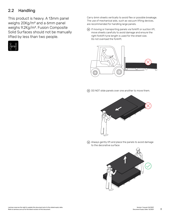## 2.2 Handling

This product is heavy. A 13mm panel weighs 20Kg/m² and a 6mm panel weighs 9.2Kg/m2. Fusion Composite Solid Surfaces should not be manually lifted by less than two people.



Carry 6mm sheets vertically to avoid flex or possible breakage. The use of mechanical aids, such as vacuum lifting devices, are recommended for handling large panels.

 $\omega$  If moving or transporting panels via forklift or suction lift, move sheets carefully to avoid damage and ensure the right forklift tyne length is used for the sheet size. Do not overload the forklift.



 $\overline{w}$  DO NOT slide panels over one another to move them.



 Always gently lift and place the panels to avoid damage to the decorative surface

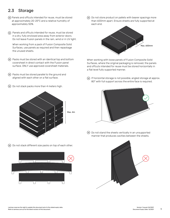## 2.3 Storage

- Panels and offcuts intended for reuse, must be stored at approximately 20-25°C and a relative humidity of approximately 50%.
- Panels and offcuts intended for reuse, must be stored in a dry, fully enclosed area away from exterior doors. Do not leave Fusion panels in the rain, wind or in UV light.

 When working from a pack of Fusion Composite Solid Surfaces, use panels as required and then repackage the unused sheets.

- Packs must be stored with an identical top and bottom coversheet in direct contact with the Fusion panel surface. ONLY use approved coversheet materials.
- Packs must be stored parallel to the ground and aligned with each other on a flat surface.
- Do not stack packs more than 4 meters high.



Do not stack different size packs on top of each other.



 $\omega$  Do not store product on pallets with bearer spacings more than 600mm apart. Ensure sheets are fully supported at each end.



When working with loose panels of Fusion Composite Solid Surfaces, where the original packaging is removed, the panels and offcuts intended for reuse must be stored horizontally in a flat level fully supported manner.

 $\overline{w}$  If horizontal storage is not possible, angled storage at approx. 80° with full support across the entire face is required.



 Do not stand the sheets vertically in an unsupported manner that produces cavities between the sheets.

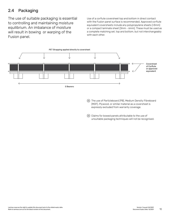## 2.4 Packaging

The use of suitable packaging is essential to controlling and maintaining moisture equilibrium. An imbalance of moisture will result in bowing or warping of the Fusion panel.

Use of a corflute coversheet top and bottom in direct contact with the Fusion panel surface is recommended. Approved corflute equivalent coversheets include any polypropylene sheets (>3mm) or a compact laminate sheet (3mm - 6mm). These must be used as a complete matching set, top and bottom, but not interchangeably with each other.



 The use of Particleboard (PB), Medium Density Fibreboard (MDF), Plywood, or similar material as a coversheet is expressly excluded from warranty coverage.

 Claims for bowed panels attributable to the use of unsuitable packaging techniques will not be recognised.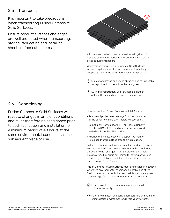## 2.5 Transport

It is important to take precautions when transporting Fusion Composite Solid Surfaces.

Ensure product surfaces and edges are well protected when transporting, storing, fabricating and installing sheets or fabricated items.



All straps and restraint devices must remain grit and burr free and suitably tensioned to prevent movement of the product during transport.

When transporting Fusion Composite Solid Surfaces across long distances, it is recommended that a belly strap is applied to the pack, tight against the product.

 Claims for damage or surface abrasion due to unsuitable transport techniques will not be recognised.

 During transportation, use flat, stable pallets of at least the same dimensions as the material.

### 2.6 Conditioning

Fusion Composite Solid Surfaces will react to changes in ambient conditions and must therefore be conditioned prior to both fabrication and installation for a minimum period of 48 hours at the same environmental conditions as the subsequent place of use.

How to condition Fusion Composite Solid Surfaces:

- Remove all protective coverings from both surfaces of the panel to ensure even moisture absorption.
- Do not allow Particleboard (PB) or Medium Density Fibreboard (MDF), Plywood or other non-approved materials, to contact the product.
- Arrange the sheets loosely in a supported manner to expose the full surface area to air circulation.

Failure to condition material may result in product expansion and contraction in response to environmental conditions, particularly with changes in temperature and humidity. This may result in, but is not limited to, bowing or warping of panels, joint failure or build-up of internal stresses that release in the form of cracks.

Fusion Composite Solid Surfaces must be installed in locations where the environmental conditions on both sides of the Fusion panel can be controlled and maintained in a manner to avoid large fluctuations in temperature or humidity.

- Failure to adhere to conditioning guidelines will void your warranty.
- Failure to maintain and control temperature and humidity of installation environments will void your warranty.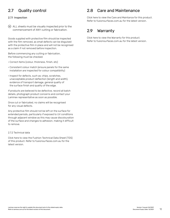## 2.7 Quality control

#### 2.7.1 Inspection

 ALL sheets must be visually inspected prior to the commencement of ANY cutting or fabrication.

Goods supplied with protective film should be inspected with the film removed, as small defects can be disguised with the protective film in place and will not be recognised as a claim if not removed before inspection.

Before commencing any cutting or fabrication, the following must be checked:

- Correct items (colour, thickness, finish, etc)
- Consistent colour match (ensure panels for the same installation are inspected for colour compatibility)
- Inspect for defects, such as: chips, scratches, unacceptable product deflection (length and width), evidence of transport damage, general quality of the surface finish and quality of the edge.

If products are believed to be defective, record all batch details, photograph product concerns and contact your Laminex representative as soon as possible.

Once cut or fabricated, no claims will be recognised for any visual defects.

Any protective film should not be left on the surface for extended periods, particularly if exposed to UV conditions through adjacent window as this may cause discolouration of the surface and changes to adhesion, making it difficult to remove.

#### 2.7.2 Technical data

[Click here to view the Fushion Technical Data Sheet \(TDS\)](#page-69-0) of this product. Refer to fusionsurfaces.com.au for the latest version.

## 2.8 Care and Maintenance

[Click here to view the Care and Maintance for this product.](#page-76-0)  Refer to fusionsurfaces.com.au for the latest version.

## 2.9 Warranty

[Click here to view the Warranty for this product.](#page-80-0)  Refer to fusionsurfaces.com.au for the latest version.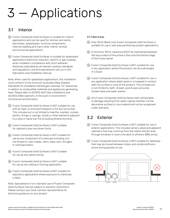# 3 — Applications

## 3.1 Interior

- Fusion Composite Solid Surfaces is suitable for interior applications and can be used for: kitchen and vanity benchtops, splashbacks, furniture components, internal cladding and many other interior vertical and horizontal applications.
- Fusion Composite Solid Surfaces is suitable for splashback applications behind an induction, electric or gas cooktop, when installed in compliance with strict setbacks distances stipulated by all relevant cooktop standards and regulations, and the requirements set out in this fabrication and installation manual.

Note: When used for splashback applications, the installation must conform to the minimum Australian/New Zealand Standards for installation behind gas cooktops, for clearances in relation to combustible materials and appliances generating heat. Please refer to AS/NZS 5601 Gas installations and AS/NZS 4386 Cabinetry in the built-in environment - Commercial and Domestic.

- Fusion Composite Solid Surfaces is NOT suitable for use with an open or enclosed fireplace or fire box surrounds. This includes but is not limited to hearths, mantels, corbels, plinths, linings or casings, hoods or other elements adjacent to a solid or liquid fuel fire (including ethanol burners).
- Fusion Composite Solid Surfaces is NOT suitable for cabinetry door and draw fronts.
- Fusion Composite Solid Surfaces is NOT suitable for use as any component of a staircase including, but not limited to, stair treads, risers, base-rails, stringers or solid bannisters
- Fusion Composite Solid Surfaces is NOT suitable for use as any safety barrier.
- Fusion Composite Solid Surfaces is NOT suitable for use as any ceiling or flooring application.
- Fusion Composite Solid Surfaces is NOT suitable for laboratory applications where exposure to chemicals is likely.

Note: Specialised or non-standard use of Fusion Composite Solid Surfaces may be subject to warranty restrictions. Please contact your local Laminex representative for technical guidance on your project.

#### 3.11 Wet areas

- Only 13mm Black core Fusion Composite Solid Surfaces is suitable for use in wet area partitioning system applications.
- A minimum 10mm clearance MUST be maintained between the top surface of the primary floor and the bottom edge of the Fusion panel.
- Fusion Composite Solid Surfaces is NOT suitable for use in any application where the product can be submerged in a liquid.
- Fusion Composite Solid Surfaces is NOT suitable for use in any application where water pools or is trapped in contact with the surface or core of the product. This includes but is not limited to, bath, shower, pool & spa surrounds, shower base and wash-planes.
- Any Fusion Composite Solid Surfaces claim attributable to damage resulting from water ingress whether via the decorative surface or core material will not be recognised under warranty.

## 3.2 Exterior

- Fusion Composite Solid Surfaces is NOT suitable for use in exterior applications. This includes servery areas and adjacent cabinetry that may continue from the indoor kitchen area through windows or doors into deck or alfresco-BBQ zones.
- Fusion Composite Solid Surfaces is NOT suitable for tabletops that may be moved between indoor and outdoor/alfresco zones during periods of use.

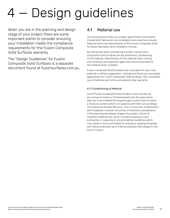# Design guidelines

When you are in the planning and design stage of your project there are some important points to consider ensuring your installation meets the compliance requirements for the Fusion Composite Solid Surfaces warranty.

The "Design Guidelines" for Fusion Composite Solid Surfaces is a separate document found at fusionsurfaces.com.au

### 4.1 Material use

You should ensure that your project specification documents include both fabrication and installation document and should follow all technical requirements of the Fusion Composite Solid Surfaces fabrication and installation manual.

Key attributes when considering a project using Fusion Composite Solid Surfaces are the preliminary conditioning of the material, directionality of the material when cutting and installing, and expansion gaps both around and behind the material when installed.

Fusion Composite Solid Surfaces are unsuitable for use in any external or alfresco application. Ceilings and floors are unsuitable applications for Fusion Composite Solid Surfaces. Non-compliant use of materials will not be considered under warranty.

#### 4.1.1 Conditioning of Material

Use of Fusion Composite Solid Surfaces must include the pre-arrival of sheets or finished panels into the area where they are to be installed for long enough to allow them to reach a moisture content which is in balance with their surroundings. This should be at least 48 hours. This is a function of fabrication and installation however should be a timeframe consideration in the planning and design stages of a project. Failure to condition material may result in product expansion and contraction in response to environmental conditions which may result in, but is not limited to, bowing or warping of panels, joint failure and build-up of internal stresses that release in the form of cracks.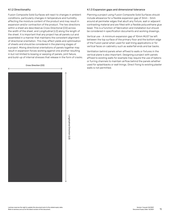#### 4.1.2 Directionality

Fusion Composite Solid Surfaces will react to changes in ambient conditions, particularly changes in temperature and humidity, affecting the moisture content of the product and may result in expansion and/or contraction of the product. The two directions within a sheet are described as Cross Directional (CD) across the width of the sheet, and Longitudinal (LD) along the length of the sheet. It is important that any project has all panels cut and assembled in a manner that maintains the consistent alignment of directional orientation. This may affect yields and optimisation of sheets and should be considered in the planning stages of a project. Mixing directional orientations of panels together may result in expansion forces working against one another resulting in but not limited to bowing or warping of panels, joint failure, and build-up of internal stresses that release in the form of cracks.

#### Cross Direction (CD)



Planning a project using Fusion Composite Solid Surfaces should include allowance for a flexible expansion gap of 3mm - 5mm around all perimeter edges that abutt any fixture, wall or adjacent contrasting material and are filled with a flexible polyurethane glue bead. This is a function of fabrication and installation but should be considered in specification documents and working drawings.

Vertical use - A minimum expansion gap of 10mm MUST be left between the top surface of the primary floor and the bottom edge of the Fusion panel when used for wall lining applications or for vertical faces on cabinetry such as waterfall ends and bar backs.

Ventilation behind panels when affixed to walls or fixtures in the vertical plane is also important. Designing a project with panels affixed to existing walls for example may require the use of batons or furring channels to maintain airflow behind the panels whether used for splashbacks or wall linings. Direct fixing to existing plaster walls is not permitted.



Longitudinal Direction (LD)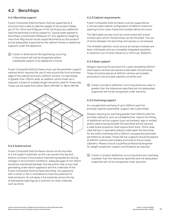## 4.2 Benchtops

#### 4.2.1 Benchtop support

Fusion Composite Solid Surfaces must be supported by a structure that is able to take the weight of the product (20kg per m2 for 13mm and 9.2kg per m2 for 6mm) plus any additional load the benchtop could be subject to. Typical loads applied to benchtops could exceed 100kg per m<sup>2</sup>. Any appliance weighing more than 5Kg should not be supported directly by the product but be adequately supported by the cabinet frames or additional supports under the appliance.

 Cracks or dimensional flexing/bowing occurring in the product will not be recognised where inadequate support of an appliance is found.

Fusion Composite Solid Surfaces must use the perimeter support method which requires the use of rails around the front and back edge of the cabinet and every 600mm centres. For benchtops of greater than 750mm wide, an addition centre lineal rail is required. A board of suitable length should be used for these rails. These can be made from either 18mm MR MDF or 18mm MR PB.



#### 4.2.2 Substructure

Fusion Composite Solid Surfaces should not be mounted to a full support substrate, as this can prevent the top and bottom surfaces of the product maintaining equilibrium during changes in environment conditions. Adequate gaps of min 25mm should be maintained between the top and/or side of any heat generating under-bench appliance and the underside of the Fusion Composite Solid Surfaces benchtop. Any appliance with a motor or fan is considered to have the potential for heat emissions. Do not apply a full substrate across the top of dishwasher openings as is common for other materials such as stone.

#### 4.2.3 Cabinet requirements

Fusion Composite Solid Surfaces must be supported by a carcass base cabinet configuration of 600mm maximum spacing to form a box frame and multiple lattice structure.

The fabricated carcass must be constructed with a level surface upon which the benchtop can be mounted. The use of shims between the benchtop and carcass is not allowed.

The installed cabinetry must ensure all carcass modules are level, individually and as a complete integrated assembly. A maximum out-of-level tolerance is 1.5mm per 3000mm.

#### 4.2.4 Span support

Designs requiring the provision for a span exceeding 600mm shall require vertical rails placed underneath the benchtop. These should be placed at 600mm centres and suitably anchored to the principle cabinetry at either end.

 $(\mathbb{W})$  Cracks or product deflection occurring where any span is greater than the tolerances specified and not adequately supported will not be recognised under warranty.

#### 4.2.5 Overhang support

An unsupported overhang of up to 200mm past the principle cabinetry/perimeter support rails is permitted.

Designs requiring an overhang greater than 200mm past the principle cabinetry, such as a breakfast bar, require the fitting of additional vertical support (such as brackets, legs or similar) and/or steel bracing beneath the benchtop will be required. A steel brace projection shall require 4mm thick, 70mm wide steel flat bar or equivalent placed underneath the benchtop for the entire overhang with a 200mm unsupported perimeter permitted on all sides. These flat bar supports should be placed at 600mm centres and suitably anchored to the principle cabinetry. Please consult a qualified professional/engineer for weight-projection-support certifications as required.

 $\overline{w}$  Cracks or product deflection occurring where any overhang is greater than the tolerances specified and not adequately supported will not be recognised under warranty.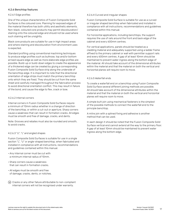#### 4.2.6 Benchtop features

#### 4.2.6.1 Edge profiles

One of the unique characteristics of Fusion Composite Solid Surfaces is the coloured core. Planning for exposed edges of the material therefore has both utility and aesthetic elements. Non-black, coloured core products may permit discolouration/ staining onto the coloured edge and should not be used where such staining will be unsightly.

Black core products are suitable for use in high impact areas and where staining and discolouration from environment uses is expected.

Standard profiling using conventional machining techniques to produce edge profiles such as bullnose, top and/or bottom arrised square edge as well as more elaborate edge profiles are possible. Build-up or build-down edges to create the appearance of a thickened edge can be created by gluing a corresponding Fusion Composite Solid Surface strip along the underside of the benchtop edge. It is important to note that the directional orientation of edge strips must match the primary benchtop onto which they are fixed. They should be cut from the same sheet and carefully managed throughout the fabrication process to avoid directional orientation conflict. This may result in failure of the bond, and cause the edge to flex, crack or bow.

#### 4.2.6.2 Internal corners

Internal corners in Fusion Composite Solid Surfaces require a minimum of 10mm radius whether in a change of direction of the benchtop, or within a cut-out or aperture. Sharp corners cause a weakness that can result in formation cracks. All edges must be smooth and free of damage, cracks, and dents.

Note: Grooves and rebates must also be rounded and smooth, to avoid cracks.

#### 4.2.6.3 "U", "L" and angled shapes

Fusion Composite Solid Surfaces is suitable for use in a single section "L", "U" or angle-shaped benchtop, when fabricated and installed in compliance with all instructions, recommendations and guidelines contained within this manual.

- Any internal corner must be cut with a minimum internal radius of 10mm.
- Sharp corners cause a weakness that can result in formation cracks.
- All edges must be smooth and free of damage, cracks, dents, or notches.
- Cracks or any other failure attributable to non-compliant internal corners will not be recognised under warranty.

#### 4.2.6.4 Curved and irregular shapes

Fusion Composite Solid Surface is suitable for use as a curved or irregular shaped benchtop when fabricated and installed in compliance with all instructions, recommendations and guidelines contained within this manual.

For horizontal applications, including benchtops, the support requires the use of rails around the front and back edge of the cabinet and every 600mm centres.

For vertical applications, panels should be treated as a cladding material and adequately supported using a ladder frame affixed to the primary cabinet or wall with permitter support rails and every 600mm centres. A gap of at least 10mm should be maintained to prevent water ingress along the bottom edge of the material. All should take account of the dimensional attributes within the material and that the material on both the vertical and horizontal planes will require room to move.

#### 4.2.6.5 Waterfall ends

To create a waterfall end on a benchtop using Fusion Composite Solid Surface several different joining methods are possible. All should take account of the dimensional attributes within the material and that the material on both the vertical and horizontal planes will require room to move.

A simple butt join using mechanical fasteners is the simplest of the possible methods to connect the waterfall end to the principle benchtop.

A mitre join with a splined fixing and adhesive is another method that can be used.

In each design it should be noted that the Fusion Composite Solid Surface vertical end cannot extend all the way to the primary floor. A gap of at least 10mm should be maintained to prevent water ingress along the bottom edge.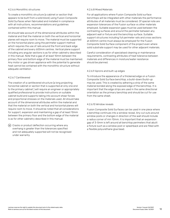#### 4.2.6.6 Monolithic structures

To create a monolithic structure (a cabinet or section that appears to be built from a solid block) using Fusion Composite Solid Surfaces when fabricated and installed in compliance with all instructions, recommendations and guidelines contained within this manual.

All should take account of the dimensional attributes within the material and that the material on both the vertical and horizontal planes will require room to move. The material must be supported on the horizontal plane using the perimeter support method which requires the use of rails around the front and back edge of the cabinet and every 600mm centres. Vertical plane support including any angular sections is as for other cabinetry described in this manual. Note that a gap of at least 10mm between the primary floor and bottom edge of the material must be maintained. Any motor or gas driven appliance with the potential to generate heat cannot be contained with the monolithic structure without adequate ventilation.

#### 4.2.6.7 Cantilevered

The creation of a cantilevered structure (a long projecting horizontal cabinet or section that is supported at only one end to the primary cabinet ) will require an engineer or appropriately qualified professional to provide instructions on suitable cabinet build and supports taking into account shear forces and proportional stresses on the materials used. All should take account of the dimensional attributes within the material and that the material on both the vertical and horizontal planes will require room to move. It should be noted that all considerations for support, expansion and maintaining a gap of at least 10mm between the primary floor and the bottom edge of the material is as for other cabinetry described in this manual.

 Cracks or product deflection occurring where any overhang is greater than the tolerances specified and not adequately supported will not be recognised under warranty.

#### 4.2.6.8 Mixed Materials

For all applications where Fusion Composite Solid surface benchtops will be integrated with other materials the performance attributes of all materials must be considered. Of special note are expansion tolerances of the Fusion surface vs other materials employed. Suitable expansion gaps must be used between the contrasting surfaces and around the perimeter between any adjacent wall or fixture and the benchtop surface. Suitable support structures including full perimeter rails and cross sections at 600mm centre must always be employed for the Fusion Composite Solid Surface component of the project even where solid substrate support may be used for other adjacent materials.

Careful consideration of specialised cleaning or maintenance requirements, contrasting attributes of heat tolerance between materials and differences in moisture/water resistance should be planned.

#### 4.2.6.9 Aprons and built-up edges

To introduce the appearance of a thickened edge on a Fusion Composite Solid Surface benchtop, a build-down/build-up may be used. This is created by adhering a strip of the same material bonded along the exposed edge of the benchtop. It is important that the edge strips are used in the same directional orientation as the primary benchtop and should be cut for use from the same sheet.

#### 4.2.6.10 Window reveals

Fusion Composite Solid Surfaces can be used in one piece where a benchtop continues into a window reveal. Any cut outs around window posts or changes in direction of the wall should include a radius corner of min 10mm. It is important that an expansion gap of 3-5mm is left around all benchtop perimeters that abutt a fixture such as a window post or splashback and are filled with a flexible polyurethane glue bead.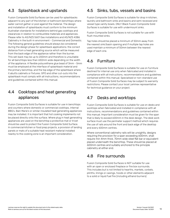## 4.3 Splashback and upstands

Fusion Composite Solid Surfaces can be used for splashbacks adjacent to any part of the kitchen or bathroom benchtops where water cannot gather or pool against the material. The design and installation of splashbacks must conform to the minimum Australian standards for installations behind gas cooktops and clearances in relation to combustible materials and appliances. Please refer to AS/NZS 5601 Gas installations and AS/NZS 4386 Cabinetry in the built-in environment - Commercial and Domestic. The following general guidelines should always be considered during the design phase for splashback applications: the correct distance from a heat generating source which will be measured from the back edge of the appliance rather than the burner. This set-back may be up to 200mm and therefore is unsuitable for all benchtops less than 650mm wide depending on the width of the appliance. A flexible polyurethane glue bead of 3mm - 5mm must be employed at the interface of splashback material and the primary benchtop, and the top edge of the splashback where it abutts cabinets or fixtures. GPO and other cut-outs into the splashback must comply with all instructions, recommendations and guidelines contained within this manual.

## 4.4 Cooktops and heat generating appliances

Fusion Composite Solid Surfaces is suitable for use in benchtops and counters where domestic or commercial cooktops, internal BBQ's, Bain Marie's or similar insulated heat generating appliances may be installed. It is important that hot cooking implements not be placed directly onto the surface. Where plug in heat generating appliances are used on the benchtop a protective mat or trivet should be used to protect the Fusion Composite Solid Surface. In commercial kitchen or food prep projects, a provision of landing panels or mats of a suitable heat resistant material installed nearby to the cooking zone is an important consideration.

## 4.5 Sinks, tubs, vessels and basins

Fusion Composite Solid Surfaces is suitable for drop in kitchen, laundry and bathroom sinks and basins and semi recessed and vessel type vanity bowls. ONLY Black Fusion Composite Solid Surfaces is suitable for use with undermount sinks.

Fusion Composite Solid Surfaces is not suitable for use with flush mounted sinks.

Tap holes should be placed a minimum of 50mm away from the nearest sink/basin opening and if multiple tap holes are used maintain a minimum of 50mm between the nearest edge of each one.

## 4.6 Furniture

Fusion Composite Solid Surfaces is suitable for use on furniture destined for internal use only when fabricated and installed in compliance with all instructions, recommendations and guidelines contained within this manual. Specialised or non-standard use of Fusion Composite Solid Surfaces may be subject to warranty restrictions. Please contact your local Laminex representative for technical guidance on your project.

## 4.7 Desks and worktops

Fusion Composite Solid Surfaces is suitable for use on desks and worktops when fabricated and installed in compliance with all instructions, recommendations and guidelines contained within this manual. Important consideration must be given for the span that is likely to exceed 600mm in the desk design. The desk work surface must use the perimeter support method which requires the use of rails around the front and back edge of the desktop and every 600mm centres.

Where conventional cabinetry rails will be unsightly, designs requiring the provision for a span exceeding 600mm, shall require min 4mm thick, 70mm wide steel flat bar or equivalent placed underneath the benchtop. These should be placed at 600mm centres and suitably anchored to the principle cabinetry at either end.

### 4.8 Fire surrounds

Fusion Composite Solid Surfaces is NOT suitable for use with an open or enclosed fireplace or fire box surrounds. This includes but is not limited to hearths, mantels, corbels, plinths, linings or casings, hoods or other elements adjacent to a solid or liquid fuel fire (including ethanol burners)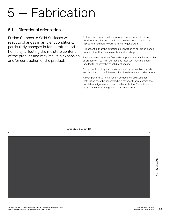# 5 — Fabrication

### 5.1 Directional orientation

Fusion Composite Solid Surfaces will react to changes in ambient conditions, particularly changes in temperature and humidity, affecting the moisture content of the product and may result in expansion and/or contraction of the product.

Optimising programs will not always take directionality into consideration, it is important that the directional orientation is programmed before cutting lists are generated.

It is essential that the directional orientation of all Fusion panels is clearly identifiable at every fabrication stage.

Each cut panel, whether finished components ready for assembly or process off-cuts for storage and later use, must be clearly labelled to identify the panel directionality.

Component cutting plans must ensure that assembled panels are compliant to the following directional movement orientations.

All components within a Fusion Composite Solid Surfaces installation must be assembled in a manner that maintains the consistent alignment of directional orientation. Compliance to directional orientation guidelines is mandatory.

Longitudinal Direction (LD)

Cross Direction (CD)

Cross Direction (CD)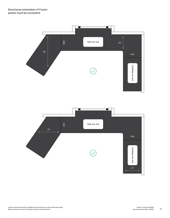

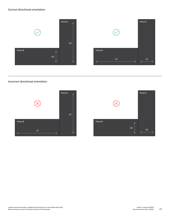#### Correct directional orientation





#### Incorrect directional orientation



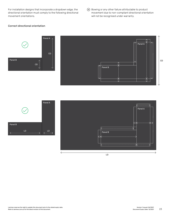For installation designs that incorporate a dropdown edge, the directional orientation must comply to the following directional movement orientations.

 Bowing or any other failure attributable to product movement due to non-compliant directional orientation will not be recognised under warranty.

#### Correct directional orientation







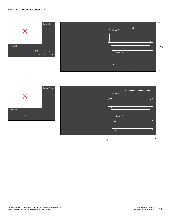#### Incorrect directional orientation





Panel B

LD



LD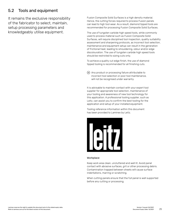## 5.2 Tools and equipment

It remains the exclusive responsibility of the fabricator to select, maintain, setup processing parameters and knowledgeably utilise equipment.

Fusion Composite Solid Surfaces is a high density material. Hence, the cutting forces required to process Fusion panels can lead to high tool wear. As a result, diamond tipped tools are recommended for processing Fusion Composite Solid Surfaces.

The use of tungsten carbide high speed tools, while commonly used to process material such as Fusion Composite Solid Surfaces, will require disciplined tool inspection, quality suitability assessment and sharpening protocols, as incorrect tool selection, maintenance and equipment setup can result in the generation of frictional heat, leading to smouldering, odour and/or edge discolouration. The use of tungsten carbide high speed tools should be restricted to sizing cuts only.

To achieve a quality cut edge finish, the use of diamond tipped tooling is recommended for all finishing cuts.

 Any product or processing failure attributable to incorrect tool selection or poor tool maintenance, will not be recognised under warranty.

It is advisable to maintain contact with your expert tool supplier for appropriate tool selection, maintenance of your tooling and awareness of new tool technology for this application. A professional tooling supplier, such as Leitz, can assist you to confirm the best tooling for the application and setup of your installed equipment.

Tooling reference information within this document has been provided to Laminex by Leitz.



#### Workplace

Keep work area clean, uncluttered and well lit. Avoid panel contact with abrasive surfaces, grit or other processing debris. Contamination trapped between sheets will cause surface indentations, marring or scratching.

When cutting panels ensure that the full panel is well supported before any cutting or processing.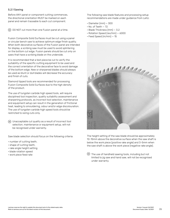#### 5.2.1 Sawing

Before ANY panel or component cutting commences, the directional orientation MUST be marked on each panel and remain traceable to each cut component.

 $\overline{w}$  DO NOT cut more than one Fusion panel at a time.

Fusion Composite Solid Surfaces must be cut using a panel or circular bench saw to achieve optimum edge finish quality. When both decorative surfaces of the Fusion panel are intended for display, a scribing saw must be used to avoid splintering on the bottom cut edge. Fusion panels should be cut only on saws that have a scribing blade on the underside.

It is recommended that a test piece be cut to verify the suitability of the specific cutting equipment to be used and the correct orientation of the decorative face to avoid damage of the bottom edge. New or sharpened blades should always be used as blunt or dull blades will decrease the accuracy and finish of cuts.

Diamond tipped tools are recommended for processing Fusion Composite Solid Surfaces due to the high density of the product.

The use of tungsten carbide high speed tools, will require disciplined tool inspection, quality suitability assessment and sharpening protocols, as incorrect tool selection, maintenance and equipment setup can result in the generation of frictional heat, leading to smouldering, odour and/or edge discolouration. The use of tungsten carbide high speed tools should be restricted to sizing cuts only.

 Unacceptable cut quality as a result of incorrect tool selection, maintenance or equipment setup, will not be recognised under warranty.

Saw blade selection should focus on the following criteria:

- number of cutting teeth,
- shape of cutting teeth,
- rake angle height setting
- blade rotation speed
- work piece feed rate

The following saw blade features and processing setup recommendations are made under guidance from Leitz:

- Diameter (mm) 300
- $\cdot$  No. of Teeth  $-72$
- Blade Thickness (mm) 3.2
- Rotation Speed (rev/min) 6000
- Feed Speed (m/min) 15



The height setting of the saw blade should be approximately 10-15mm above the decorative surface when the saw shaft is below the work piece (positive rake angle) and 3-5mm when the saw shaft is above the work piece (negative rake angle).

 $\left(\mathsf{W}\right)$  The use of handheld sawing tools, including but not limited to jig saw and hand saw, will not be recognised under warranty.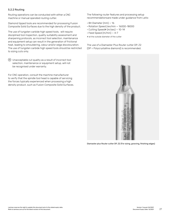#### 5.2.2 Routing

Routing operations can be conducted with either a CNC machine or manual operated routing cutter.

Diamond tipped tools are recommended for processing Fusion Composite Solid Surfaces due to the high density of the product.

The use of tungsten carbide high speed tools, will require disciplined tool inspection, quality suitability assessment and sharpening protocols, as incorrect tool selection, maintenance and equipment setup can result in the generation of frictional heat, leading to smouldering, odour and/or edge discolouration. The use of tungsten carbide high speed tools should be restricted to sizing cuts only.

 Unacceptable cut quality as a result of incorrect tool selection, maintenance or equipment setup, will not be recognised under warranty.

For CNC operation, consult the machine manufacturer to verify that the spindle tool head is capable of servicing the forces typically experienced when processing a high density product, such as Fusion Composite Solid Surfaces. The following router features and processing setup recommendationsare made under guidance from Leitz:

- Bit Diameter (mm) 16
- Rotation Speed (rev/min 16000-18000
- Cutting Speed# (m/sec) 10-14
- $\cdot$  Feed Speed (m/min)  $-4-7$
- # at the outside diameter of the cutter

The use of a Diamaster Plus Router cutter DP, Z2 (DP = Polycrystalline diamond) is recommended.



Diamaster plus Router cutter DP, Z2 (For sizing, grooving, finishing edges)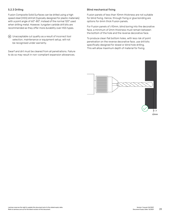#### 5.2.3 Drilling

Fusion Composite Solid Surfaces can be drilled using a high speed steel (HSS) drill bit (typically designed for plastic materials) with a point angle of 60°-80°, instead of the normal 120° used when drilling metal. However, tungsten carbide drill bits are recommended as they offer more durability over HSS types.

 Unacceptable cut quality as a result of incorrect tool selection, maintenance or equipment setup, will not be recognised under warranty.

Swarf and dirt must be cleared from all penetrations. Failure to do so may result in non-compliant expansion allowances.

#### Blind mechanical fixing

Fusion panels of less than 10mm thickness are not suitable for blind fixing. Hence, through fixing or glue bonding are options for 6mm thick Fusion panels.

For Fusion panels of ≥10mm, blind boring into the decorative face, a minimum of 2mm thickness must remain between the bottom of the hole and the reverse decorative face.

To produce clean flat bottom holes, with less risk of point penetration on the reverse decorative face, use drill bits specifically designed for dowel or blind hole drilling. This will allow maximum depth of material for fixing.

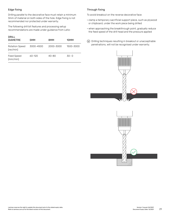#### Edge fixing

Drilling parallel to the decorative face must retain a minimum 3mm of material on both sides of the hole. Edge fixing is not recommended nor protected under warranty.

The following drill bit features and processing setup recommendations are made under guidance from Leitz:

| DRILL<br><b>DIAMETRE</b>           | 5MM        | 8MM       | 10MM      |
|------------------------------------|------------|-----------|-----------|
| <b>Rotation Speed</b><br>(rev/min) | 3000-4500  | 2000-3000 | 1500-3000 |
| Feed Speed<br>(mm/min)             | $60 - 120$ | $40 - 80$ | $30 - 0$  |

#### Through fixing

To avoid breakout on the reverse decorative face:

- clamp a temporary sacrificial support piece, such as plywood or chipboard, under the work piece being drilled
- when approaching the breakthrough point, gradually reduce the feed speed of the drill head and the pressure applied
- Drilling techniques resulting in breakout or unacceptrable penetrations, will not be recognised under warranty.



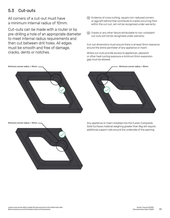## 5.3 Cut-outs

All corners of a cut-out must have a minimum internal radius of 10mm.

Cut-outs can be made with a router or by pre-drilling a hole of an appropriate diameter to meet internal radius requirements and then cut between drill holes. All edges must be smooth and free of damage, cracks, dents or notches.



 $\omega$  Cracks or any other failure attributable to non-compliant cut-outs will not be recognised under warranty.

Cut-out dimensions must ensure there is at least 3mm clearance around the entire perimeter of any appliance or insert.

Where cut-outs provide access to appliances, pipework or other heat cycling exposure a minimum 5mm expansion gap must be allowed.







Any appliance or insert installed into the Fusion Composite Solid Surfaces material weighing greater than 5kg will require additional support rails around the underside of the opening.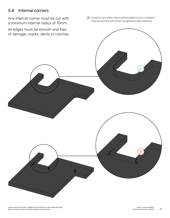## 5.4 Internal corners

Any internal corner must be cut with a minimum internal radius of 10mm.

All edges must be smooth and free

 Cracks or any other failure attributable to non-compliant internal corners will not be recognised under warranty.

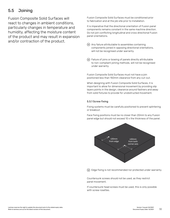## 5.5 Joining

Fusion Composite Solid Surfaces will react to changes in ambient conditions, particularly changes in temperature and humidity, affecting the moisture content of the product and may result in expansion and/or contraction of the product.

Fusion Composite Solid Surfaces must be conditioned prior to fabrication and at the job site prior to installation.

It is imperative that the directional orientation of Fusion panel components remains constant in the same machine direction. Do not join conflicting longitudinal and cross directional Fusion panel orientations.

- Any failure attributable to assemblies containing components joined in opposing directional orientations, will not be recognised under warranty.
- Failure of joins or bowing of panels directly attributable to non-compliant joining methods, will not be recognised under warranty.

Fusion Composite Solid Surfaces must not have a join positioned less than 150mm clearance from any cut-out.

When designing with Fusion Composite Solid Surfaces, it is important to allow for dimensional movement by providing slip layers points in the design, clearance around fastners and away from solid fixtures to provide for unobstructed movement.

#### 5.5.1 Screw fixing

Fixing systems must be carefully positioned to prevent splintering or breakout.

Face fixing positions must be no closer than 20mm to any Fusion panel edge but should not exceed 10 x the thickness of the panel.



Edge fixing is not recommended nor protected under warranty.

Countersunk screws should not be used, as they restrict panel movement.

If countersunk head screws must be used, this is only possible with screw rosettes.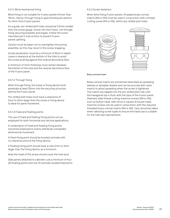#### 5.5.1.1 Blind mechanical fixing

Blind fixing is not suitable for Fusion panels thinner than 10mm. Hence, through fixing or glue bonding are options for 6mm thick Fusion panels.

As a guide, pre-drilled pilot holes should be 0.5mm smaller than the screw gauge. Screw into the Fusion, not through fixing securing brackets and angles. Follow the screw manufacturer's instructions to prevent Fusion panels splitting.

Caution must be taken not to overtighten the joining assembly, as this may result in the screw snapping.

Screw penetration must be a minimum of 8mm in depth. Leave a clearance at the bottom of the hole to avoid the screw pushing against the reverse decorative face.

A minimum of 2mm thickness must remain between the bottom of the hole and the reverse decorative face of the Fusion panel.

#### 5.5.1.2 Through fixing

When through fixing, the screw or fixing device must penetrate at least 25mm into the securing structure behind the Fusion panel.

Pre-drilled pilot holes must have a clearance of 2mm to 3mm larger than the screw or fixing device to allow for panel movement.

#### 5.5.1.3 Fixed and floating points

The use of fixed and floating fixing points can be employed for both horizontal and vertical applications.

A combination of fixed and floating fixing points should be employed to evenly distribute unimpeded dimensional movement.

A fixed fixing point should be located centrally with no clearance around the fixing device.

A floating fixing point should have a hole 2mm to 3mm larger than the fixing device, as a minimum.

Note the head of the screw should cover the hole bore.

Side panels attached to cabinetry use a minimum of four (4) floating points and one (1) centrally located fixed point.

#### 5.5.2 Screw fasteners

When blind fixing Fusion panels, threaded brass conical inserts (M4 or M6) must be used in conjunction with a thread cutting screw (M4 or M6), within pre-drilled pilot holes.



#### Brass concical insert

Brass conical inserts are sometimes described as spreading sleeves or spreader dowels and can be sourced with nylon inserts to assist spreading when the screw is tightened. The inserts are tapped into the pre-drilled pilot hole until the hexagonal top is flush with the face of the Fusion panel. Stainless steel thread cutting machine screws (M4 or M6), such as button head, allen drive or square drive pan head machine screws can be used in conjunction with the required threaded brass conical inserts (M4 or M6). Care should be taken when selecting screw types to ensure the head size is suitable for the hole size requirements.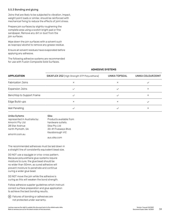#### 5.5.3 Bonding and gluing

Joins that are likely to be subjected to vibration, impact, weight point loads or similar, should be reinforced with mechanical fixing to reduce the effects of joint stress.

Prepare join surfaces by slightly roughening the complete area using a scotch bright pad or fine sandpaper. Remove any dirt or dust from the join surfaces.

Wipe down the join surfaces with a solvent such as Isopropyl alcohol to remove any grease residue.

Ensure all solvent residues have evaporated before applying any adhesive.

The following adhesive systems are recommended for use with Fusion Composite Solid Surfaces.

| <b>APPLICATION</b>        | SIKAFLEX 252 (High Strength STP Polyurethane) | <b>UNIKA TOPSEAL</b> | UNIKA COLOURJOINT |
|---------------------------|-----------------------------------------------|----------------------|-------------------|
| <b>Fabrication Joins</b>  | ×                                             | ×                    |                   |
| <b>Expansion Joins</b>    |                                               |                      | ×                 |
| Benchtop to Support Frame |                                               |                      | ×                 |
| Edge Build-ups            | ×                                             | ×                    |                   |
| Wall Panelling            |                                               |                      | ×                 |

| Unika Sytems                 | Sika                    |
|------------------------------|-------------------------|
| represented in Australia by: | Products available from |
| Amorini Pty Ltd              | hardware outlets.       |
| 28 Star Avenue               | Sika Pty Ltd            |
| north Plymoth, SA            | 33-41 Fiveways Blvd,    |
| amorini.com.au               | Keysborough VIC         |
|                              | aus sika com            |

The recommended adhesives must be laid down in a straight line of consistently equivalent bead size.

DO NOT use a squiggle or criss-cross pattern. Because polyurethane glue systems require moisture to cure, the glue bead should be no wider than 50mm, as cured adhesive will prevent moisture to penetrate and continue curing a wider glue bead.

DO NOT move the join while the adhesive is curing as this will weaken the bond strength.

Follow adhesive supplier guidelines which instruct correct surface preparation and glue application to achieve the best bonding results.

 Failures of bonding or adhesives are not protected under warranty.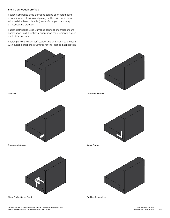#### 5.5.4 Connection profiles

Fusion Composite Solid Surfaces can be connected using a combination of fixing and gluing methods in conjunction with metal splines, biscuits (made of compact laminate) or interlocking grooves.

Fusion Composite Solid Surfaces connections must ensure compliance to all directional orientation requirements, as set out in this document.

Fusion panels are NOT self-supporting and MUST be be used with suitable support structures for the intended application.



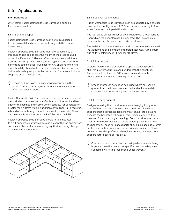## 5.6 Applications

#### 5.6.1 Benchtops

ONLY 13mm Fusion Composite Solid Surfaces is suitable for use as a benchtop.

#### 5.6.1.1 Benchtop support

Fusion Composite Solid Surfaces must be well supported to maintain a flat surface, so as not to sag or deflect under its own weight.

Fusion Composite Solid Surfaces must be supported by a structure that is able to take the weight of the product (20kg per m2 for 13mm and 9.2kg per m2 for 6mm) plus any additional load the benchtop could be subject to. Typical loads applied to benchtops could exceed 100kg per m2. Any appliance weighing more than 5Kg should not be supported directly by the product but be adequately supported by the cabinet frames or additional supports under the appliance.

 $\overline{w}$  Cracks or dimensional flexing/bowing occurring in the product will not be recognised where inadequate support of an appliance is found.

Fusion Composite Solid Surfaces must use the perimeter support method which requires the use of rails around the front and back edge of the cabinet and every 600mm centres. For benchtops of greater than 750mm wide, an addition centre lineal rail is required. A board of suitable length should be used for these rails. These can be made from either 18mm MR MDF or 18mm MR PB.

Fusion Composite Solid Surfaces should not be mounted to a full support substrate, as this can prevent the top and bottom surfaces of the product maintaining equilibrium during changes in environment conditions.



#### 5.6.1.2 Cabinet requirements

Fusion Composite Solid Surfaces must be supported by a carcass base cabinet configuration of 600mm maximum spacing to form a box frame and multiple lattice structure.

The fabricated carcass must be constructed with a level surface upon which the benchtop can be mounted. The use of shims between the benchtop and carcass is not allowed.

The installed cabinetry must ensure all carcass modules are level, individually and as a complete integrated assembly. A maximum out-of-level tolerance is 1.5mm per 3000mm.

#### 5.6.1.3 Span support

Designs requiring the provision for a span exceeding 600mm shall require vertical rails placed underneath the benchtop. These should be placed at 600mm centres and suitably anchored to the principle cabinetry at either end.

 Cracks or product deflection occurring where any span is greater than the tolerances specified and not adequately supported will not be recognised under warranty.

#### 5.6.1.4 Overhang support

Designs requiring the provision for an overhanging top greater than 200mm, such as a breakfast bar, the fitting of vertical support (such as brackets, legs or similar) and/or steel bracing beneath the benchtop will be required. Designs requiring the provision for an overhang exceeding 200mm shall require 4mm thick, 70mm wide steel flat bar or equivalent placed underneath the benchtop. These flat bar supports should be placed at 600mm centres and suitably anchored to the principle cabinetry. Please consult a qualified professional/engineer for weight-projectionsupport certifications as required.

 Cracks or product deflection occurring where any overhang is greater than the tolerances specified and not adequately supported will not be recognised under warranty.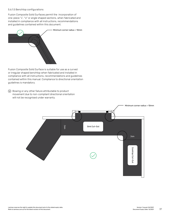#### 5.6.1.5 Benchtop configurations

Fusion Composite Solid Surfaces permit the incorporation of one-piece "L", "U" or angle shaped sections, when fabricated and installed in compliance with all instructions, recommendations and guidelines contained within this document.



Fusion Composite Solid Surface is suitable for use as a curved or irregular shaped benchtop when fabricated and installed in compliance with all instructions, recommendations and guidelines contained within this manual. Compliance to directional orientation guidelines is mandatory.

 Bowing or any other failure attributable to product movement due to non-compliant directional orientation will not be recognised under warranty.

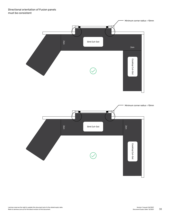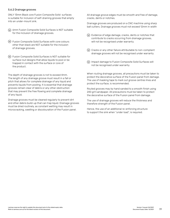## 5.6.2 Drainage grooves

ONLY 13mm Black core Fusion Composite Solid surfaces is suitable for inclusion of self-draining grooves that empty into an under-mount sink.

- 6mm Fusion Composite Solid Surfaces is NOT suitable for the inclusion of drainage grooves.
- Fusion Composite Solid Surfaces with core colours other than black are NOT suitable for the inclusion of drainage grooves.
- Fusion Composite Solid Surfaces is NOT suitable for surface rout designs that allow liquids to pool or be trapped in contact with the surface or core of the product.

The depth of drainage grooves is not to exceed 4mm. The length of any drainage groove must result in a fall or pitch that allows for complete drainage of any liquid and prevents liquids from pooling. It is essential that drainage grooves remain clear of debris or any other obstruction that may prevent the free flowing and complete drainage of any liquid.

Drainage grooves must be cleaned regularly to prevent dirt and other debris build-up that can trap liquid. Drainage grooves must be dried routinely, as constant wetting may result in microcracking, swelling or discolouration of the Fusion panel.

All drainage groove edges must be smooth and free of damage, cracks, dents or notches.

Drainage grooves are produced on a CNC machine using sharp ball cutters. Drainage grooves must not exceed 12mm in width

- Evidence of edge damage, cracks, dents or notches that contribute to cracks occurring from drainage grooves, will not be recognised under warranty.
- $(\hat{w})$  Cracks or any other failure attributable to non-compliant drainage grooves will not be recognised under warranty.
- Impact damage to Fusion Composite Solid Surfaces will not be recognised under warranty.

When routing drainage grooves, all precautions must be taken to protect the decorative surface of the Fusion panel from damage. The use of masking tape to mark out groove centres lines and protect the surface, is recommended.

Routed grooves may by hand sanded to a smooth finish using 240 grit sandpaper. All precautions must be taken to protect the decorative surface of the Fusion panel from damage.

The use of drainage grooves will reduce the thickness and therefore strength of the Fusion panel.

Hence, the use of an additional re-enforcing structure to support the sink when "under load", is required.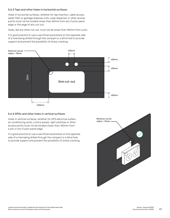## 5.6.3 Taps and other holes in horizontal surfaces

Holes in horizontal surfaces, whether for tap insertion, cable access, water filter or garbage disposal units, soap dispenser or other access points must not be located closer than 50mm from any Fusion panel edge or the edge of any cut-out.

Holes, like any other cut-out, must not be closer than 150mm from a join.

It is good practice to use a sacrificial wood block on the opposite side of a hole being drilled through the compact or a blind hole to provide support and prevent the possibility of stress cracking.



## 5.6.4 GPOs and other holes in vertical surfaces

Holes in vertical surfaces, whether for GPO electrical outlets, air conditioning vents, control panels, light switches or other access points must not be located closer than 150mm from a join or any Fusion panel edge.

It is good practice to use a sacrificial wood block on the opposite side of a hole being drilled through the compact or a blind hole to provide support and prevent the possibility of stress cracking.

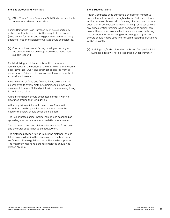#### 5.6.5 Tabletops and Worktops

 $\overline{w}$  ONLY 13mm Fusion Composite Solid Surfaces is suitable for use as a tabletop or worktop.

Fusion Composite Solid Surfaces must be supported by a structure that is able to take the weight of the product (20kg per m2 for 13mm and 9.2kg per m2 for 6mm) plus any additional load the tabletop or worktop could be subject to.

 Cracks or dimensional flexing/bowing occurring in the product will not be recognised where inadequate support is found.

For blind fixing, a minimum of 2mm thickness must remain between the bottom of the drill hole and the reverse decorative face. Swarf and dirt must be cleared from all penetrations. Failure to do so may result in non-compliant expansion allowances.

A combination of fixed and floating fixing points should be employed to evenly distribute unimpeded dimensional movement. Use one (1) fixed point, with the remaining fixings to be floating points.

A fixed fixing point should be located centrally with no clearance around the fixing device.

A floating fixing point should have a hole 2mm to 3mm larger than the fixing device, as a minimum. Note the head of the screw should cover the hole bore.

The use of brass conical inserts (sometimes described as spreading sleeves or spreader dowels) is recommended.

The maximum overhang distance between the fixing point and the outer edge is not to exceed 200mm.

The distance between fixings (mounting distance) should take into consideration the dimensions of the horizontal surface and the weight/load that is likely to be supported. The maximum mounting distance employed should not exceed 450mm.

## 5.6.6 Edge detailing

Fusion Composite Solid Surfaces is available in numerous core colours, from white through to black. Dark core colours will better mask discolouration/staining of an exposed coloured edge. Lighter core colours will result in a high contrast between any discolouration/staining when compared to original core colour. Hence, core colour selection should always be taking into consideration when using exposed edges. Lighter core colours should not be used where such discolouration/staining will be unsightly.

|  | (w) Staining and/or discolouration of Fusion Composite Solid |
|--|--------------------------------------------------------------|
|  | Surfaces edges will not be recognised under warranty.        |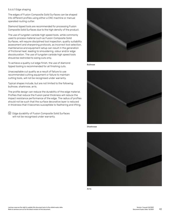#### 5.6.6.1 Edge shaping

The edges of Fusion Composite Solid Surfaces can be shaped into different profiles using either a CNC machine or manual operated routing cutter.

Diamond tipped tools are recommended for processing Fusion Composite Solid Surfaces due to the high density of the product.

The use of tungsten carbide high speed tools, while commonly used to process material such as Fusion Composite Solid Surfaces, will require disciplined tool inspection, quality suitability assessment and sharpening protocols, as incorrect tool selection, maintenance and equipment setup can result in the generation of frictional heat, leading to smouldering, odour and/or edge discolouration. The use of tungsten carbide high speed tools should be restricted to sizing cuts only.

To achieve a quality cut edge finish, the use of diamond tipped tooling is recommended for all finishing cuts.

Unacceptable cut quality as a result of failure to use recommended cutting equipment or failure to maintain cutting tools, will not be recognised under warranty.

Typical shapes include, but are not limited to the following: bullnose, sharknose, arris.

The profile design can reduce the durability of the edge material. Profiles that reduce the Fusion panel thickness will reduce the impact resistance performance of the edge. The radius of profiles should not be such that the surface decorative layer is reduced in thickness that it becomes susceptible to feathering and lifting.

 Edge durability of Fusion Composite Solid Surfaces will not be recognised under warranty.



Bullnose



Sharknose



Arris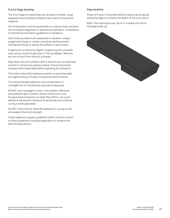## 5.6.6.2 Edge bonding

The front edge of a benchtop can be given a thicker visual appearance by bonding multiple Fusion panel components together.

All components must be assembled in a manner that maintains the consistent alignment of directional orientation. Compliance to directional orientation guidelines is mandatory.

Joins that are likely to be subjected to vibration, impact, weight point loads or similar, should be reinforced with mechanical fixing to reduce the effects of joint stress.

Prepare join surfaces by slightly roughening the complete area using a scotch bright pad or fine sandpaper. Remove any dirt or dust from the join surfaces.

Wipe down the join surfaces with a solvent such as Isopropyl alcohol to remove any grease residue. Ensure all solvent residues have evaporated before applying any adhesive.

The Unika ColourJoint adhesive system is recommended for edge bonding of Fusion Composite Solid Surfaces.

The recommended adhesive must be laid down in a straight line of consistently equivalent bead size.

DO NOT use a squiggle or criss-cross pattern. Because polyurethane glue systems require moisture to cure, the glue bead should be no wider than 50mm, as cured adhesive will prevent moisture to penetrate and continue curing a wider glue bead.

DO NOT move the join while the adhesive is curing as this will weaken the bond strength.

Follow adhesive supplier guidelines which instruct correct surface preparation and glue application to achieve the best bonding results.

## Edge doubling

Strips of Fusion Composite Solid Surfaces can be glued along the edge to increase the depth of the core colour.

Note: This technique may result in a visible line within the edge build-up.

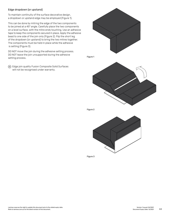## Edge dropdown (or upstand)

To maintain continuity of the surface decorative design, a dropdown or upstand edge may be employed (Figure 1).

This can be done by mitring the edge of the two components to be joined at a 45° angle. Carefully place the two components on a level surface, with the mitre ends touching. Use an adhesive tape to keep the components secured in place. Apply the adhesive bead to one side of the join only (Figure 2). Flip the short leg of the dropdown (or upstand) to bring the two mitres together. The components must be held in place while the adhesive is setting (Figure 3).

DO NOT move the join during the adhesive setting process. DO NOT leave the join unsupported during the adhesive setting process.

 Edge join quality Fusion Composite Solid Surfaces will not be recognised under warranty.



Figure 2



Figure 3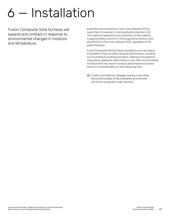# 6 — Installation

Fusion Composite Solid Surfaces will expand and contract in response to environmental changes in moisture and temperature.

Expansion and contraction in the cross-direction (CD) is twice that of movement in the longitudinal direction (LD). The maximum expansion and contraction of the material is approximately 2.5mm/m in the longitudinal direction (LD) and 5mm/m in the cross-direction (CD), regardless of the panel thickness.

Fusion Composite Solid Surfaces installations can be subject to conditions that can affect product performance, including but not limited to building movement, settling of foundations, rising damp, appliance malfunctions or any other environmental influence that may result in product performance outcomes that are not attributable to a manufacturing fault.

 Cracks, joint opening, warpage, bowing or any other failure attributable to the installation environment will not be recognised under warranty.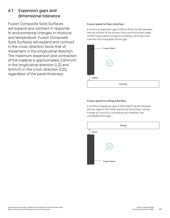## 6.1 Expansion gaps and dimensional tolerance

Fusion Composite Solid Surfaces will expand and contract in response to environmental changes in moisture and temperature. Fusion Composite Solid Surfaces will expand and contract in the cross-direction twice that of movement in the longitudinal direction. The maximum expansion and contraction of the material is approximately 2.5mm/m in the longitudinal direction (LD) and 5mm/m in the cross-direction (CD), regardless of the panel thickness.

## Fusion panel to floor interface

A minimum expansion gap of 10mm MUST be left between the top surface of the primary floor and the bottom edge of the Fusion panel. Fixings of moulding / skirtings must maintain the unimpeded 10mm gap.



## Fusion panel to ceiling interface

A minimum expansion gap of 5mm MUST be left between the top edge of the Fusion panel and the primary ceiling. Fixings of a cornice or moulding must maintain the unimpeded 5mm gap.

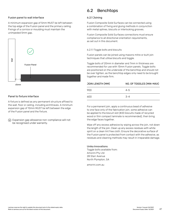## Fusion panel to wall interface

A minimum expansion gap of 5mm MUST be left between the top edge of the Fusion panel and the primary ceiling. Fixings of a cornice or moulding must maintain the unimpeded 5mm gap.



## Panel to fixture interface

A fixture is defined as any permanent structure affixed to the wall, floor or ceiling, including architraves. A minimum expansion gap of 10mm MUST be left between the edge of the Fusion panel and the fixture.

 Expansion gap allowance non-compliance will not be recognised under warranty.

## 6.2 Benchtops

#### 6.2.1 Joining

Fusion Composite Solid Surfaces can be connected using a combination of fixing and gluing methods in conjunction with metal splines, biscuits or interlocking grooves.

Fusion Composite Solid Surfaces connections must ensure compliance to all directional orientation requirements, as set out in this document.

6.2.1.1 Toggle bolts and biscuits

Fusion panels can be joined using masons mitre or butt join techniques that utilise biscuits and toggle.

Toggle bolts of 20mm in diameter and 7mm in thickness are recommended for use with 13mm Fusion panels. Toggle bolts are positioned on the underside of the benchtop and should not be over tighten, as the benchtop edges only need to be brought together and made firm.

| NO. OF TOGGLES (MIN-MAX) |  |
|--------------------------|--|
| $4 - 5$                  |  |
| $-3-4$                   |  |
|                          |  |

For a permanent join, apply a continuous bead of adhesive to one face only of the fabrication join, some adhesive can be applied to the biscuit slot (#20 biscuits made of recycled wood or thin compact laminate is recommended), then bring the edge faces together.

Wipe off any excess adhesive by wiping across the join, not down the length of the join. Clean up any excess residues with white spirit on a clean lint free cloth. Ensure the decorative surface of the Fusion panel is protected from contact with the adhesive, as residues and cleaning methods may result in irreparable damage.

## Unika Innovations

Toggle bolts available from: Amorini Pty Ltd 28 Starr Avenue North Plympton, SA

amorini.com.au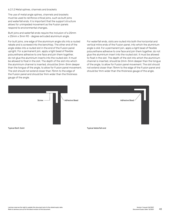#### 6.2.1.2 Metal splines, channels and brackets

The use of metal angle splines, channels and brackets must be used to reinforce critical joins, such as butt joins and waterfall ends. It is important that the support structure allows for unimpeded movement as the Fusion panels respond to environmental changes.

Butt joins and waterfall ends require the inclusion of a 25mm x 25mm x 3mm 90 - degree extruded aluminium angle.

For butt joins, one edge of the aluminium angle sits into a routed rebate and is screwed into the benchtop. The other end of the angle slides into a routed slot in the end of the Fusion panel upright. For a permanent join, apply a light bead of flexible polyurethane adhesive to one face and join them together, do not glue the aluminium inserts into the routed slot. It must be allowed to float in the slot. The depth of the slot into which the aluminium channel is inserted, should be 2mm-3mm deeper than the tongue of the angle, to allow for Fusion panel movement. The slot should not extend closer than 75mm to the edge of the Fusion panel and should be 1mm wider than the thickness gauge of the angle.

For waterfall ends, slots are routed into both the horizontal and vertical mitre ends of the Fusion panel, into which the aluminium angle is slid. For a permanent join, apply a light bead of flexible polyurethane adhesive to one face and join them together, do not glue the aluminium insert into the routed slot. It must be allowed to float in the slot. The depth of the slot into which the aluminium channel is inserted, should be 2mm-3mm deeper than the tongue of the angle, to allow for Fusion panel movement. The slot should not extend closer than 75mm to the edge of the Fusion panel and should be 1mm wider than the thickness gauge of the angle.

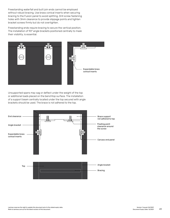Freestanding waterfall and butt join ends cannot be employed without robust bracing. Use brass conical inserts when securing bracing to the Fusion panel to avoid splitting. Drill screw fastening holes with 3mm clearance to provide slippage points and tighten bracket screws firmly but do not overtighten.

Freestanding ends require bracing to secure the vertical position. The installation of 90° angle brackets positioned centrally to mask their visibility, is essential.



Unsupported spans may sag or deflect under the weight of the top or additional loads placed on the benchtop surface. The installation of a support beam centrally located under the top secured with angle brackets should be used. The brace is not adhered to the top.

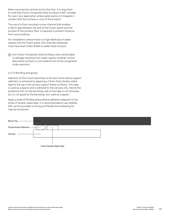When securing the vertical end to the floor, it is important to note that Fusion Composite Solid Surfaces is NOT suitable for use in any application where water pools or is trapped in contact with the surface or core of the product.

The use of a floor mounted runner channel that enables a 10mm gap between the end of the Fusion panel and the surface of the primary floor, is required to prevent moisture from accumulating.

For installations where there is a high likelihood of water ingress into the Fusion panel, the channels employed must have drain holes drilled so water does not pool.

 Any Fusion Composite Solid Surfaces claim attributable to damage resulting from water ingress whether via the decorative surface or core material will not be recognised under warranty.

#### 6.2.1.3 Bonding and gluing

Adhesion of the Fusion benchtop to the box frame lattice support cabinetry is achieved by applying a 1.5mm thick double-sided tape to the top of all carcass support frame surfaces. This tape is used as a spacer and is adhered to the carcass only. Hence the protective film on the benchtop side of the tape is not removed, as it is not glued to the benchtop, but used as a spacer.

Apply a bead of flexible polyurethane adhesive adjacent to the strips of double-sided tape. It is recommended to use Sikaflex 252, as this provides a strong and flexible bond allowing for natural movement.

| Bench Top               |  |  |
|-------------------------|--|--|
| Polyeurthane Adhesive   |  |  |
| Carcass                 |  |  |
|                         |  |  |
| 1.5mm Double Sided Tape |  |  |

Laminex reserves the right to update this document prior to the stated expiry date.<br>Refer to laminex.com.au for the latest revision of this document. We are the stated expiry date: 12/2021 and R<br>Refer to laminex.com.au for Refer to laminex.com.au for the latest revision of this document.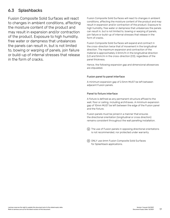## 6.3 Splashbacks

Fusion Composite Solid Surfaces will react to changes in ambient conditions, affecting the moisture content of the product and may result in expansion and/or contraction of the product. Exposure to high humidity, free water or dampness that unbalances the panels can result in, but is not limited to, bowing or warping of panels, join failure or build-up of internal stresses that release in the form of cracks.

Fusion Composite Solid Surfaces will react to changes in ambient conditions, affecting the moisture content of the product and may result in expansion and/or contraction of the product. Exposure to high humidity, free water or dampness that unbalances the panels can result in, but is not limited to, bowing or warping of panels, join failure or build-up of internal stresses that release in the form of cracks.

Fusion Composite Solid Surfaces will expand and contract in the cross-direction twice that of movement in the longitudinal direction. The maximum expansion and contraction of the material is approximately 2.5mm/m in the longitudinal direction (LD and 5mm/m in the cross-direction (CD), regardless of the panel thickness.

Hence, the following expansion gap and dimensional allowances are stipulated.

## Fusion panel to panel interface

A minimum expansion gap of 2.5mm MUST be left between adjacent Fusion panels.

## Panel to fixture interface

A fixture is defined as any permanent structure affixed to the wall, floor or ceiling, including architraves. A minimum expansion gap of 10mm MUST be left between the edge of the Fusion panel and the fixture.

Fusion panels must be joined in a manner that ensures the directional orientation (longitudinal or cross direction) remains consistent throughout the wall panelling installation.

 The use of Fusion panels in opposing directional orientations is not recommended, nor protected under warranty.

 ONLY use 6mm Fusion Composite Solid Surfaces for Splashback applications.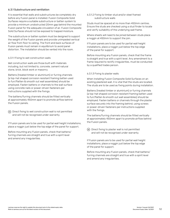## 6.3.1 Substructure and ventilation

It is essential that walls and substructures be completely dry before any Fusion panel is installed. Fusion Composite Solid Surfaces require a suitable substructure or batten system to provide a minimum unobstructed 20mm gap behind the mounted Fusion panel for the adequate circulation of air. Fusion Composite Solid Surfaces should not be exposed to trapped moisture.

The substructure or batten system must be designed to support the weight of the Fusion panels and provide unimpeded vertical air flow from floor to ceiling. The front and back surfaces of Fusion panels must remain in equilibrium to avoid panel distortion. The installation should be vented into the room.

## 6.3.1.1 Fixing to wet construction walls

Wet construction walls are those built with materials including, but not limited to, concrete, cement natural stone, brick, block work or masonry.

Battens (treated timber or aluminium) or furring channels (a top-hat shaped corrosion resistant framing batten used to furr/flatten & smooth out wall assemblies) should be employed. Fasten battens or channels to the wall surface using concrete nails or power-driven fasteners per instructions supplied with the fixings.

The battens/furring channels should be fitted vertically at approximately 450mm apart to promote airflow behind the Fusion panels.

 $(w)$  Direct fixing to wet construction wall is not permitted and will not be recognised under warranty.

If Fusion panels are to be used for partial wall height installations, place a noggin just below the top edge of the panel for support.

Before mounting any Fusion panels, check that battens/ furring channels are straight and true with a spirit level and amend any irregularities.

6.3.1.2 Fixing to timber stud and/or steel framed substructure walls

Studs must be spaced at no more than 450mm centres. Ensure the studs are checked using a stud finder to locate and verify suitability of the underlying wall frame.

Where sheets will need to be joined between studs place a noggin at 450mm to support the join.

If Fusion panels are to be used for partial wall height installations, place a noggin just below the top edge of the panel for support.

Before mounting any Fusion panels, check that the frame is straight and true with a spirit level. Any amendment to a frame required to rectify irregularities, must be conducted by a qualified trades person.

## 6.3.1.3 Fixing to plaster walls

When installing Fusion Composite Solid Surfaces on an existing plastered wall, it is vital that the studs are located. The studs are to be used as fixing points during installation.

Battens (treated timber or aluminium) or furring channels (a top-hat shaped corrosion resistant framing batten used to furr/flatten & smooth out wall assemblies) should be employed. Fasten battens or channels through the plaster surface securely into the framing behind, using screws or power-driven fasteners per instructions supplied with the fixings.

The battens/furring channels should be fitted vertically at approximately 450mm apart to promote airflow behind the Fusion panels.

 $\overline{w}$  Direct fixing to plaster wall is not permitted and will not be recognised under warranty.

If Fusion panels are to be used for partial wall height installations, place a noggin just below the top edge of the panel for support.

Before mounting any Fusion panels, check that battens/ furring channels are straight and true with a spirit level and amend any irregularities.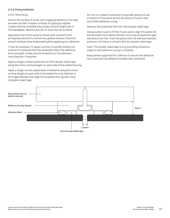## 6.3.2 Fixing methods

#### 6.3.2.1 Glue fixing

Ensure the surface of studs, joint noggings battens or furrings are even and flat. Prepare surfaces for gluing by slightly roughening the complete area using a scotch bright pad or fine sandpaper. Remove any dirt or dust from all surfaces.

Wipe down the Fusion panel surfaces with a solvent such as Isopropyl alcohol to remove any grease residue. Ensure all solvent residues have evaporated before applying any adhesive.

It may be necessary to apply a primer to wooden battens as a barrier to moisture that may adversely affect the adhesive bond strength. Follow recommendations of the adhesive manufacturer, if required.

Apply a single uninterrupted strip of 3mm double-sided tape along the entire vertical length on each side of the batten/furring.

Apply a single uninterrupted bead of adhesive along the entire vertical length on each side of the batten/furring. Maintain a 5mm gap between the edge of the batten/furring each strip of double-sided tape.

Do not run a bead of adhesive horizontally along the top or bottom of the panel as this will obstruct free air flow and inhibit adhesive curing.

Remove the protective film from the double-sided tape.

Using suction cups to lift the Fusion panel, align the panel into the allocated inst a llation position, ensuring all expansion gap allocations are met. Push the panel onto the wall and maintain pressure until there is contact with the double-sided tape.

Note: The double-sided tape is only providing temporary support until adhesive curing is complete.

Keep panels supported for >24hours to ensure the adhesive has cured and full adhesive strength been achieved.



1.5mm Double Sided Tape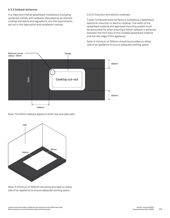## 6.3.3 Setback distances

It is important that all splashback installations (including upstands) comply with setbacks stipulated by all relevant cooktop standards and regulations, and the requirements set out in this fabrication and installation manual.

#### 6.3.3.1 Induction and electric cooktops

Fusion Composite Solid Surfaces is suitable as a splashback behind an induction or electric cooktop. The width of the splashback material and approved mounting system must be accounted for when ensuring a 50mm setback is achieved between the front face of the installed splashback material and the rear edge of the appliance.

Note: A minimum of 300mm should be provided on either side of an appliance to ensure adequate working space.



Note: The 50mm setback applies to both rear and side walls.



Note: A minimum of 300mm should be provided on either side of an appliance to ensure adequate working space.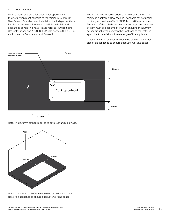#### 6.3.3.2 Gas cooktops

When a material is used for splashback applications, the installation must conform to the minimum Australian/ New Zealand Standards for installation behind gas cooktops, for clearances in relation to combustible materials and appliances generating heat. Please refer to AS/NZS 5601 Gas installations and AS/NZS 4386 Cabinetry in the built-in environment - Commercial and Domestic.

Fusion Composite Solid Surfaces DO NOT comply with the minimum Australian/New Zealand Standards for installation behind gas cooktops ANY CLOSER than a 200mm setback. The width of the splashback material and approved mounting system must be accounted for when ensuring the 200mm setback is achieved between the front face of the installed splashback material and the rear edge of the appliance.

Note: A minimum of 300mm should be provided on either side of an appliance to ensure adequate working space.



Note: The 200mm setback applies to both rear and side walls.



Note: A minimum of 300mm should be provided on either side of an appliance to ensure adequate working space.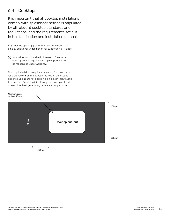## 6.4 Cooktops

It is important that all cooktop installations comply with splashback setbacks stipulated by all relevant cooktop standards and regulations, and the requirements set out in this fabrication and installation manual.

Any cooktop opening greater than 600mm wide, must employ additional under-bench rail support on all 4 sides.

 $\omega$  Any failures attributable to the use of "over-sized" cooktops or inadequate cooktop support will not be recognised under warranty.

Cooktop installations require a minimum front and back rail distance of 50mm between the Fusion panel edge and the cut-out. Do not position a join closer than 150mm to a cut-out. Benchtop joins through a cooktop cut-out or any other heat generating device are not permitted.

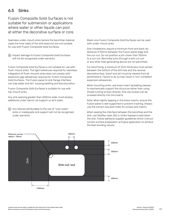## 6.5 Sinks

Fusion Composite Solid Surfaces is not suitable for submersion or applications where water or other liquids can pool at either the decorative surface or core.

Seamless under-mount sinks (where the benchtop material clads the inner walls of the sink reservoir) are not suitable for use with Fusion Composite Solid Surfaces.

 Impact damage to Fusion Composite Solid Surfaces will not be recognised under warranty.

Fusion Composite Solid Surfaces is not suitable for use with flush-mount sinks. The tight tolerances required for seamless integration of flush-mounts sinks does not comply with expansion gap allowances required for Fusion Composite Solid Surfaces. The Fusion panel to sink flange interface can trap water and dirt, causing swelling and discolouration.

Fusion Composite Solid Surfaces is suitable for use with top-mount sinks.

Any sink opening greater than 600mm wide, must employ additional under-bench rail support on all 4 sides.

 $(w)$  Any failures attributable to the use of "over-sized" sinks or inadequate sink support will not be recognised under warranty.

Black core Fusion Composite Solid Surfaces can be used with under-mount sinks.

Sink installations require a minimum front and back rail distance of 50mm between the Fusion panel edge and the cut-out. Do not position a join closer than 150mm to a cut-out. Benchtop joins through a sink cut-out or any other heat generating device are not permitted.

For blind fixing, a minimum of 2mm thickness must remain between the bottom of the drill hole and the reverse decorative face. Swarf and dirt must be cleared from all penetrations. Failure to do so may result in non-compliant expansion allowances.

When mounting sinks, use brass insert spreading sleeves to mechanically support the structure rather than using thread cutting screws directly. Sink clip screws can be screwed directly into the inserts.

Note: When lightly tapping in the brass inserts, ensure the Fusion panel is well supported to prevent cracking. Always use the correct size pilot holes for screws and inserts.

When sealing the interface between the benchtop and the sink, use Sikaflex clear 252 or Unika Topseal to bed down the sink. Follow adhesive supplier guidelines which instruct correct surface preparation and glue application to achieve the best bonding results.

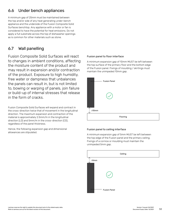## 6.6 Under bench appliances

A minimum gap of 25mm must be maintained between the top and/or side of any heat generating under-bench appliance and the underside of the Fusion Composite Solid Surfaces benchtop. Any appliance with a motor or fan is considered to have the potential for heat emissions. Do not apply a full substrate across the top of dishwasher openings as is common for other materials such as stone.

## 6.7 Wall panelling

Fusion Composite Solid Surfaces will react to changes in ambient conditions, affecting the moisture content of the product and may result in expansion and/or contraction of the product. Exposure to high humidity, free water or dampness that unbalances the panels can result in, but is not limited to, bowing or warping of panels, join failure or build-up of internal stresses that release in the form of cracks.

Fusion Composite Solid Surfaces will expand and contract in the cross-direction twice that of movement in the longitudinal direction. The maximum expansion and contraction of the material is approximately 2.5mm/m in the longitudinal direction (LD) and 5mm/m in the cross-direction (CD), regardless of the panel thickness.

Hence, the following expansion gap and dimensional allowances are stipulated.

## Fusion panel to floor interface

A minimum expansion gap of 10mm MUST be left between the top surface of the primary floor and the bottom edge of the Fusion panel. Fixings of moulding / skirtings must maintain the unimpeded 10mm gap.



## Fusion panel to ceiling interface

A minimum expansion gap of 5mm MUST be left between the top edge of the Fusion panel and the primary ceiling. Fixings of a cornice or moulding must maintain the unimpeded 5mm gap.

|                     |                     | Ceiling |  |
|---------------------|---------------------|---------|--|
| $\updownarrow$ ≥5mm |                     |         |  |
|                     |                     |         |  |
|                     |                     |         |  |
|                     |                     |         |  |
| $\circ$             | <b>Fusion Panel</b> |         |  |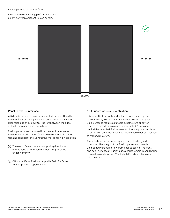A minimum expansion gap of 2.5mm MUST be left between adjacent Fusion panels.



≥2.5mm

## Panel to fixture interface

A fixture is defined as any permanent structure affixed to the wall, floor or ceiling, including architraves. A minimum expansion gap of 10mm MUST be left between the edge of the Fusion panel and the fixture.

Fusion panels must be joined in a manner that ensures the directional orientation (longitudinal or cross direction) remains consistent throughout the wall panelling installation.

- The use of Fusion panels in opposing directional orientations is not recommended, nor protected under warranty.
- ONLY use 13mm Fusion Composite Solid Surfaces for wall panelling applications.

## 6.7.1 Substructure and ventilation

It is essential that walls and substructures be completely dry before any Fusion panel is installed. Fusion Composite Solid Surfaces require a suitable substructure or batten system to provide a minimum unobstructed 20mm gap behind the mounted Fusion panel for the adequate circulation of air. Fusion Composite Solid Surfaces should not be exposed to trapped moisture.

The substructure or batten system must be designed to support the weight of the Fusion panels and provide unimpeded vertical air flow from floor to ceiling. The front and back surfaces of Fusion panels must remain in equilibrium to avoid panel distortion. The installation should be vented into the room.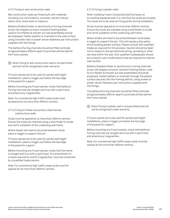#### 6.7.1.1 Fixing to wet construction walls

Wet construction walls are those built with materials including, but not limited to, concrete, cement natural stone, brick, block work or masonry.

Battens (treated timber or aluminium) or furring channels (a top-hat shaped corrosion resistant framing batten used to furr/flatten & smooth out wall assemblies) should be employed. Fasten battens or channels to the wall surface using concrete nails or power-driven fasteners per instructions supplied with the fixings.

The battens/furring channels should be fitted vertically at approximately 600mm apart to promote airflow behind the Fusion panels.

 $\omega$  Direct fixing to wet construction wall is not permitted and will not be recognised under warranty.

If Fusion panels are to be used for partial wall height installations, place a noggin just below the top edge of the panel for support.

Before mounting any Fusion panels, check that battens/ furring channels are straight and true with a spirit level and amend any irregularities.

Note: For commercial high traffic areas studs must be spaced at not more than 450mm centres.

6.7.1.2 Fixing to timber stud and/or steel framed substructure walls

Studs must be spaced at no more than 600mm centres. Ensure the studs are checked using a stud finder to locate and verify suitability of the underlying wall frame.

Where sheets will need to be joined between studs place a noggin to support the join.

If Fusion panels are to be used for partial wall height installations, place a noggin just below the top edge of the panel for support.

Before mounting any Fusion panels, check that the frame is straight and true with a spirit level. Any amendment to a frame required to rectify irregularities, must be conducted by a qualified trades person.

Note: For commercial high traffic areas studs must be spaced at not more than 450mm centres.

#### 6.7.1.3 Fixing to plaster walls

When installing Fusion Composite Solid Surfaces on an existing plastered wall, it is vital that the studs are located. The studs are to be used as fixing points during installation.

Studs must be spaced at no more than 600mm centres. Ensure the studs are checked using a stud finder to locate and verify suitability of the underlying wall frame.

Where sheets will need to be joined between studs place a noggin to support the join. This will require a disruption of the existing plaster surface. Please consult with qualified trades as required for this process. Caution should be taken not to impact or disrupt electrical wiring, plumbing or other services within the wall. Only qualified tradespeople should be involved in any modifications that are required to internal wall cavities.

Battens (treated timber or aluminium) or furring channels (a top-hat shaped corrosion resistant framing batten used to furr/flatten & smooth out wall assemblies) should be employed. Fasten battens or channels through the plaster surface securely into the framing behind, using screws or power-driven fasteners per instructions supplied with the fixings.

The battens/furring channels should be fitted vertically at approximately 600mm apart to promote airflow behind the Fusion panels.

 $\overline{w}$  Direct fixing to plaster wall is not permitted and will not be recognised under warranty.

If Fusion panels are to be used for partial wall height installations, place a noggin just below the top edge of the panel for support.

Before mounting any Fusion panels, check that battens/ furring channels are straight and true with a spirit level and amend any irregularities.

Note: For commercial high traffic areas studs must be spaced at not more than 450mm centres.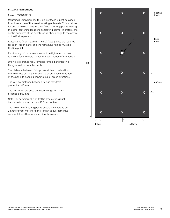## 6.7.2 Fixing methods

#### 6.7.2.1 Through fixing

Mounting Fusion Composite Solid Surfaces is best designed from the centre of the panel, working outwards. This provides for one or two centrally located fixed mounting points leaving the other fastening locations as floating points. Therefore, the centre supports of the substructure should align to the centre of the Fusion panels.

At least one (1) or maximum two (2) fixed points are required for each Fusion panel and the remaining fixings must be floating points.

For floating points, screw must not be tightened to close to the surface to avoid movement obstruction of the panels.

Drill hole clearance requirements for fixed and floating fixings must be complied with.

The distance between fixings takes into consideration the thickness of the panel and the directional orientation of the panel to be fixed (longitudinal or cross direction).

The vertical distance between fixings for 13mm product is 600mm.

The horizontal distance between fixings for 13mm product is 600mm.

Note: For commercial high traffic areas studs must be spaced at not more than 450mm centres.

The hole size of floating points should be enlarged by 2mm for every meter of panel length to overcome the accumulative effect of dimensional movement.

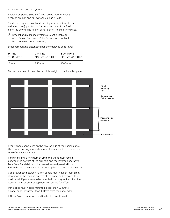6.7.2.2 Bracket and rail system

Fusion Composite Solid Surfaces can be mounted using a robust bracket and rail system such as Z Rails.

This type of system involves installing rows of rails onto the wall structure (lip up) and clips onto the back of the Fusion panel (lip down). The Fusion panel is then "hooked" into place.

 Bracket and rail fixing systems are not suitable for 6mm Fusion Composite Solid Surfaces and will not be recognised under warranty.

Bracket mounting distances shall be employed as follows:

| PANFL            | 2 PANFL        | 3 OR MORE      |
|------------------|----------------|----------------|
| <b>THICKNESS</b> | MOUNTING RAILS | MOUNTING RAILS |
| 13mm             | 850mm          | 1000mm         |

Central rails need to bear the principle weight of the installed panel.



Evenly space panel clips on the reverse side of the Fusion panel. Use thread cutting screws to mount the panel clips to the reverse side of the Fusion Panel.

For blind fixing, a minimum of 2mm thickness must remain between the bottom of the drill hole and the reverse decorative face. Swarf and dirt must be cleared from all penetrations. Failure to do so may result in non-compliant expansion allowances.

Gap allowances between Fusion panels must have at least 5mm clearance at the top and bottom of the panel and between the next panel. If panels are to be mounted in a longitudinal direction, leave a 10mm or greater gap between panels for effect.

Panel clips must not be mounted closer than 20mm to a panel edge, or further than 100mm from the panel edge.

Lift the Fusion panel into position to clip over the rail.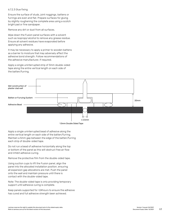#### 6.7.2.3 Glue fixing

Ensure the surface of studs, joint noggings, battens or furrings are even and flat. Prepare surfaces for gluing by slightly roughening the complete area using a scotch bright pad or fine sandpaper.

Remove any dirt or dust from all surfaces.

Wipe down the Fusion panel surfaces with a solvent such as Isopropyl alcohol to remove any grease residue. Ensure all solvent residues have evaporated before applying any adhesive.

It may be necessary to apply a primer to wooden battens as a barrier to moisture that may adversely affect the adhesive bond strength. Follow recommendations of the adhesive manufacturer, if required.

Apply a single uninterrupted strip of 3mm double-sided tape along the entire vertical length on each side of the batten/furring.



1.5mm Double Sided Tape

Apply a single uninterrupted bead of adhesive along the entire vertical length on each side of the batten/furring. Maintain a 5mm gap between the edge of the batten/furring each strip of double-sided tape.

Do not run a bead of adhesive horizontally along the top or bottom of the panel as this will obstruct free air flow and inhibit adhesive curing.

Remove the protective film from the double-sided tape.

Using suction cups to lift the Fusion panel, align the panel into the allocated installation position, ensuring all expansion gap allocations are met. Push the panel onto the wall and maintain pressure until there is contact with the double-sided tape.

Note: The double-sided tape is only providing temporary support until adhesive curing is complete.

Keep panels supported for >24hours to ensure the adhesive has cured and full adhesive strength been achieved.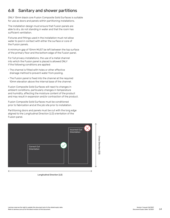## 6.8 Sanitary and shower partitions

ONLY 13mm black core Fusion Composite Solid Surfaces is suitable for use as doors and panels within partitioning installations.

The installation design must ensure that Fusion panels are able to dry, do not standing in water and that the room has sufficient ventilation.

Fixtures and fittings used in the installation must not allow water to pool in contact with either the surface or core of the Fusion panels.

A minimum gap of 10mm MUST be left between the top surface of the primary floor and the bottom edge of the Fusion panel.

For full privacy installations, the use of a metal channel into which the Fusion panel is placed is allowed ONLY if the following conditions are applied:

- The channel is fitted with holes or other effective drainage method to prevent water from pooling.
- The Fusion panel is fixed into the channel at the required 10mm elevation above the internal base of the channel.

Fusion Composite Solid Surfaces will react to changes in ambient conditions, particularly changes in temperature and humidity, affecting the moisture content of the product and may result in expansion and/or contraction of the product.

Fusion Composite Solid Surfaces must be conditioned prior to fabrication and at the job site prior to installation.

Partitioning doors and panels must be cut with the long edge aligned to the Longitudinal Direction (LD) orientation of the Fusion panel.



Longitudinal Direction (LD)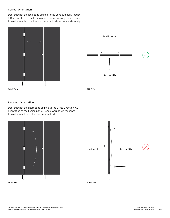## Correct Orientation

Door cut with the long edge aligned to the Longitudinal Direction (LD) orientation of the Fusion panel. Hence, warpage in response to environmental conditions occurs vertically occurs horizontally.



## Incorrect Orientation

Door cut with the short edge aligned to the Cross Direction (CD) orientation of the Fusion panel. Hence, warpage in response to environment conditions occurs vertically.



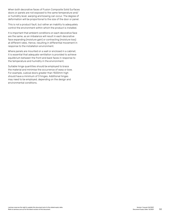When both decorative faces of Fusion Composite Solid Surfaces doors or panels are not exposed to the same temperature and/ or humidity level, warping and bowing can occur. The degree of deformation will be proportional to the size of the door or panel.

This is not a product fault, but rather an inability to adequately control the environment within which the product is installed.

It is important that ambient conditions on each decorative face are the same, as an imbalance will result in each decorative face expanding (moisture gain) or contracting (moisture loss) at different rates. Hence, resulting in differential movement in response to the installation environment.

Where panels are mounted on a wall or enclosed in a cabinet, it is essential that adequate ventilation is provided to achieve equilibrium between the front and back faces in response to the temperature and humidity in the environment.

Suitable hinge quantities should be employed to brace the material and minimise the occurrence of warp or bow. For example, cubical doors greater than 1500mm high should have a minimum of 3 hinges. Additional hinges may need to be employed, depending on the design and environmental conditions.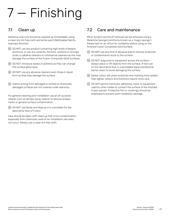# 7 — Finishing

## 7.1 Clean up

Adhesive overruns should be cleaned up immediately using a clean dry lint free cloth and white spirit (Methylated Spirits, Isopropyl Alcohol).

- DO NOT use any product containing high levels of bleach, ammonia, or use any solvents, thinners, acetone or strongly acidic or alkaline cleaners or commercial cleaners as this may damage the surface of the Fusion Composite Solid Surfaces.
- DO NOT introduce waxes or polishes as they can change the surface gloss level.
- DO NOT use any abrasive cleaners even those in liquid form as they may damage the surface.
- Claims arising from damaged or etched or chemically damaged surfaces are not covered under warranty.

For general cleaning post installation use an all-purpose cleaner such as Windex spray cleaner to remove streaky marks or general surface contamination.

 $\overline{w}$  DO NOT use Spray and Wipe as it is unsuitable for the decorative face of Fusion

Care should be taken with clean up that cross contamination especially from chemicals used on an installation site does not occur. Always use a clean lint free cloth.

## 7.2 Care and maintenance

Minor Scratch and Scuff removal can be achieved using a Melamine Sponge (commonly known as a 'magic sponge'). Please test on an offcut for suitability before using on the finished Fusion Composite Solid Surface.

- DO NOT use any kind of abrasive pad to remove scratches or contaminants stuck to the surface.
- $\overline{w}$  DO NOT drag tools or equipment across the surface always place or lift objects from the surface. If tool use on the decorative face is unavoidable place a protective barrier down to avoid damaging the surface.
- Darker colour will show scratches and marking more readily than lighter colours and therefore require more care.
- DO NOT permit chemicals, adhesives, tools, or equipment used by other trades to contact the surface of the finished Fusion panels. Protective film or coverings should be employed to prevent post installation damage.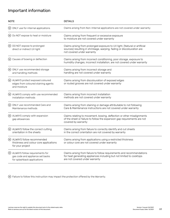## Important information

| <b>NOTE</b> |                                                                                                     | <b>DETAILS</b>                                                                                                                                                                     |  |
|-------------|-----------------------------------------------------------------------------------------------------|------------------------------------------------------------------------------------------------------------------------------------------------------------------------------------|--|
|             | (w) ONLY use for internal applications                                                              | Claims arising from Non-Internal applications are not covered under warranty                                                                                                       |  |
|             | (w) Do NOT expose to heat or moisture                                                               | Claims arising from frequent or excessive exposure<br>to moisture are not covered under warranty                                                                                   |  |
|             | (w) DO NOT expose to prolonged<br>direct or indirect UV light                                       | Claims arising from prolonged exposure to UV light, (Natural or artificial<br>sources) resulting in shrinkage, warping, fading or discolouration are<br>not covered under warranty |  |
|             | (w) Causes of bowing or deflection                                                                  | Claims arising from incorrect conditioning, poor storage, exposure to<br>humidity changes, incorrect installation, are not covered under warranty                                  |  |
|             | (w) ONLY use recommended storage<br>and handling methods                                            | Claims arising from incorrect storage and<br>handling are not covered under warranty                                                                                               |  |
|             | (w) ALWAYS protect exposed coloured<br>edges from coloured staining agents<br>and moisture          | Claims arising from discolouration of exposed edges<br>or routed grooves are not covered under warranty                                                                            |  |
|             | (w) ALWAYS comply with use recommended<br>installation methods                                      | Claims arising from incorrect installation<br>methods are not covered under warranty                                                                                               |  |
|             | (w) ONLY use recommended Care and<br>Maintenance methods                                            | Claims arising from staining or damage attributable to not following<br>Care & Maintenance instructions are not covered under warranty                                             |  |
|             | (w) ALWAYS comply with expansion<br>gap allowances                                                  | Claims relating to movement, bowing, deflection or other misalignments<br>of the sheet or failure to follow the expansion gap requirements are not<br>covered by warranty          |  |
|             | W ALWAYS follow the correct cutting<br>orientation in the sheets                                    | Claims arising from failure to correctly identify and cut sheets<br>in the correct orientation are not covered by warranty                                                         |  |
|             | (w) ALWAYS follow recommended<br>thickness and colour core applications<br>for your project         | Claims arising from applications using a restricted thickness<br>or colour core are not covered under warranty                                                                     |  |
|             | W ALWAYS follow requirements for<br>gas code and appliance set backs<br>for splashback applications | Claims arising from failure to follow requirements and recommendations<br>for heat generating appliances including but not limited to cooktops<br>are not covered under warranty   |  |

Failure to follow this instruction may impact the protection offered by the Warranty.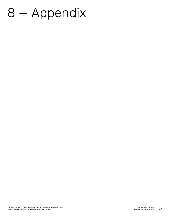## 8 — Appendix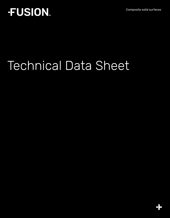Composite solid surfaces

## **FUSION.**

# Technical Data Sheet

8,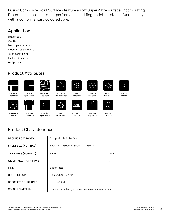Fusion Composite Solid Surfaces feature a soft SuperMatte surface, incorporating Protec+® microbial resistant performance and fingerprint resistance functionality, with a complimentary coloured core.

## Applications

Benchtops Vanities Desktops + tabletops Induction splashbacks Toilet partitioning Lockers + seating Wall panels

## Product Attributes



Application

**SuperMatte** Finish







Induction Splashback

80

Resistant



Fast Installation

Heat Resistant

3.6m

Extra long slab size



Impact Resistant





Made in

Routing **Capability** 



Product Characteristics

UV Stable Indoor Use

| PRODUCT CATEGORY                   | Composite Solid Surfaces                                |      |  |
|------------------------------------|---------------------------------------------------------|------|--|
| SHEET SIZE (NOMINAL)               | 3600mm x 1500mm, 3600mm x 750mm                         |      |  |
| THICKNESS (NOMINAL)                | 6 <sub>mm</sub>                                         | 13mm |  |
| WEIGHT (KG/M <sup>2</sup> APPROX.) | 9.2                                                     | 20   |  |
| <b>FINISH</b>                      | SuperMatte                                              |      |  |
| <b>CORE COLOUR</b>                 | Black, White, Pewter                                    |      |  |
| <b>DECORATED SURFACES</b>          | Double Sided                                            |      |  |
| COLOUR/PATTERN                     | To view the full range, please visit www.laminex.com.au |      |  |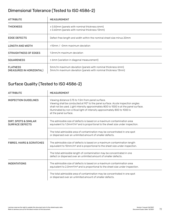## Dimensional Tolerance (Tested to ISO 4586-2)

| <b>ATTRIBUTE</b>                            | <b>MEASUREMENT</b>                                                                                                          |  |
|---------------------------------------------|-----------------------------------------------------------------------------------------------------------------------------|--|
| <b>THICKNESS</b>                            | ± 0.50mm (panels with nominal thickness 6mm)<br>± 0.60mm (panels with nominal thickness 13mm)                               |  |
| <b>EDGE DEFECTS</b>                         | Defect free length and width within the nominal sheet size minus 20mm                                                       |  |
| <b>LENGTH AND WIDTH</b>                     | +10mm / -0mm maximum deviation                                                                                              |  |
| STRAIGHTNESS OF EDGES                       | 1.5mm/m maximum deviation                                                                                                   |  |
| <b>SQUARENESS</b>                           | $\leq$ 6mm (variation in diagonal measurement)                                                                              |  |
| <b>FLATNESS</b><br>(MEASURED IN HORIZONTAL) | 5mm/m maximum deviation (panels with nominal thickness 6mm)<br>3mm/m maximum deviation (panels with nominal thickness 13mm) |  |

## Surface Quality (Tested to ISO 4586-2)

| <b>ATTRIBUTE</b>                                | <b>MEASUREMENT</b>                                                                                                                                                                                                                                                                                                                    |  |
|-------------------------------------------------|---------------------------------------------------------------------------------------------------------------------------------------------------------------------------------------------------------------------------------------------------------------------------------------------------------------------------------------|--|
| INSPECTION GUIDELINES                           | Viewing distance 0.75 to 1.5m from panel surface.<br>Viewing shall be conducted at 90° to the panel surface. Acute inspection angles<br>shall not be used. Light intensity approximately 800 to 1000 lx at the panel surface.<br>Illuminated by non critical light of intensity approximately 800 to 1000 lx<br>at the panel surface. |  |
| DIRT, SPOTS & SIMILAR<br><b>SURFACE DEFECTS</b> | The admissible size of defects is based on a maximum contamination area<br>equivalent to $1.0\,\mathrm{mm}^2/\mathrm{m}^2$ and is proportional to the sheet size under inspection.                                                                                                                                                    |  |
|                                                 | The total admissible area of contamination may be concentrated in one spot<br>or dispersed over an unlimited amount of smaller defects.                                                                                                                                                                                               |  |
| <b>FIBRES, HAIRS &amp; SCRATCHES</b>            | The admissible size of defects is based on a maximum contamination length<br>equivalent to 10mm/m <sup>2</sup> and is proportional to the sheet size under inspection.                                                                                                                                                                |  |
|                                                 | The total admissible length of contamination may be concentrated in one<br>defect or dispersed over an unlimited amount of smaller defects.                                                                                                                                                                                           |  |
| <b>INDENTATIONS</b>                             | The admissible size of defects is based on a maximum contamination area<br>equivalent to $2.0$ mm $^{2}/m^{2}$ and is proportional to the sheet size under inspection.                                                                                                                                                                |  |
|                                                 | The total admissible area of contamination may be concentrated in one spot<br>or dispersed over an unlimited amount of smaller defects.                                                                                                                                                                                               |  |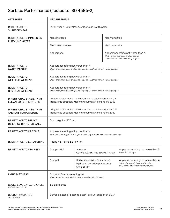## Surface Performance (Tested to ISO 4586-2)

| <b>ATTRIBUTE</b>                                      | <b>MEASUREMENT</b>                                                                                                  |                                                                                    |               |                                                                                                                       |  |
|-------------------------------------------------------|---------------------------------------------------------------------------------------------------------------------|------------------------------------------------------------------------------------|---------------|-----------------------------------------------------------------------------------------------------------------------|--|
| <b>RESISTANCE TO</b><br><b>SURFACE WEAR</b>           | Initial wear ≥ 150 cycles. Average wear ≥ 350 cycles                                                                |                                                                                    |               |                                                                                                                       |  |
| <b>RESISTANCE TO IMMERSION</b><br>IN BOILING WATER    | Mass Increase                                                                                                       |                                                                                    | Maximum 2.0 % |                                                                                                                       |  |
|                                                       | Thickness Increase                                                                                                  |                                                                                    |               | Maximum 2.0 %                                                                                                         |  |
|                                                       | Appearance                                                                                                          |                                                                                    |               | Appearance rating not worse than 4<br>Slight change of gloss and/or colour,<br>only visible at certain viewing angles |  |
| <b>RESISTANCE TO</b><br><b>WATER VAPOUR</b>           | Appearance rating not worse than 4<br>Slight change of gloss and/or colour, only visible at certain viewing angles  |                                                                                    |               |                                                                                                                       |  |
| <b>RESISTANCE TO</b><br>WET HEAT AT 100°C             | Appearance rating not worse than 4<br>Slight change of gloss and/or colour, only visible at certain viewing angles  |                                                                                    |               |                                                                                                                       |  |
| <b>RESISTANCE TO</b><br>DRY HEAT AT 180°C             | Appearance rating not worse than 4<br>Slight change of gloss and/or colour, only visible at certain viewing angles  |                                                                                    |               |                                                                                                                       |  |
| DIMENSIONAL STABILITY AT<br>ELEVATED TEMPERATURE      | Longitudinal direction: Maximum cumulative change 0.40 %<br>Transverse direction: Maximum cumulative change 0.80 %  |                                                                                    |               |                                                                                                                       |  |
| DIMENSIONAL STABILITY AT<br>AMBIENT TEMPERATURE       | Longitudinal direction: Maximum cumulative change 0.40 %<br>Transverse direction: Maximum cumulative change 0.80 %  |                                                                                    |               |                                                                                                                       |  |
| <b>RESISTANCE TO IMPACT</b><br>BY LARGE DIAMETER BALL | Drop height ≥ 1200 mm                                                                                               |                                                                                    |               |                                                                                                                       |  |
| <b>RESISTANCE TO CRAZING</b>                          | Appearance rating not worse than 4<br>Surfaces unchanged, with slight hairline edge cracks visible to the naked eye |                                                                                    |               |                                                                                                                       |  |
| RESISTANCE TO SCRATCHING                              | Rating = $3$ (Force $\geq 2$ Newton)                                                                                |                                                                                    |               |                                                                                                                       |  |
| <b>RESISTANCE TO STAINING</b>                         | Groups 1 & 2                                                                                                        | Acetone<br>Coffee (120g of coffee per litre of water)                              |               | Appearance rating not worse than 5<br>No visible change                                                               |  |
|                                                       | Group 3                                                                                                             | Sodium hydroxide (25% solution)<br>Hydrogen peroxide (30% solution)<br>Shoe polish |               | Appearance rating not worse than 4<br>Slight change of gloss and/or colour,<br>only visible at certain viewing angles |  |
| <b>LIGHTFASTNESS</b>                                  | Contrast: Grey scale rating $\geq 4$<br>When tested in contrast with Blue wool 6 Ref: ISO 105-A02                   |                                                                                    |               |                                                                                                                       |  |
| GLOSS LEVEL AT 60°C ANGLE<br>AS/NZS 1580.602.2        | $\leq 8$ gloss units                                                                                                |                                                                                    |               |                                                                                                                       |  |
| <b>COLOUR VARIATION</b><br>ISO 105-A05                | Surface material "batch to batch" colour variation of ∆E ≤ 1                                                        |                                                                                    |               |                                                                                                                       |  |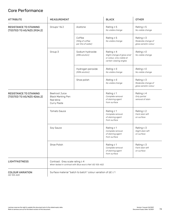## Core Performance

| <b>ATTRIBUTE</b>                                           | MEASUREMENT                                                                                       |                                                  | <b>BLACK</b>                                                                                           | <b>OTHER</b>                                                  |
|------------------------------------------------------------|---------------------------------------------------------------------------------------------------|--------------------------------------------------|--------------------------------------------------------------------------------------------------------|---------------------------------------------------------------|
| <b>RESISTANCE TO STAINING</b><br>(TESTED TO AS/NZS 2924.2) | Groups 1 & 2                                                                                      | Acetone                                          | Rating $\geq$ 5<br>No visible change                                                                   | Rating $\geq$ 5<br>No visible change                          |
|                                                            |                                                                                                   | Coffee<br>(120g of coffee<br>per litre of water) | Rating $\geq$ 5<br>No visible change                                                                   | Rating $\geq$ 3<br>Moderate change of<br>gloss sand/or colour |
|                                                            | Group 3                                                                                           | Sodium hydroxide<br>(25% solution)               | Rating $\geq 4$<br>Slight change of gloss and/<br>or colour, only visible at<br>certain viewing angles | Rating $\geq 5$<br>No visible change                          |
|                                                            |                                                                                                   | Hydrogen peroxide<br>(30% solution)              | Rating $\geq 5$<br>No visible change                                                                   | Rating $\geq 5$<br>No visible change                          |
|                                                            |                                                                                                   | Shoe polish                                      | Rating $\geq 5$<br>No visible change                                                                   | Rating $\geq$ 3<br>Moderate change of<br>gloss sand/or colour |
| <b>RESISTANCE TO STAINING</b><br>(TESTED TO AS/NZS 4266.2) | <b>Beetroot Juice</b><br><b>Black Marking Pen</b><br>Red Wine<br>Curry Paste                      |                                                  | Rating $\leq 1$<br>Complete removal<br>of staining agent<br>from surface                               | Rating $\leq 4$<br>Only partial<br>removal of stain           |
|                                                            | <b>Tomato Sauce</b>                                                                               |                                                  | Rating $\leq 1$<br>Complete removal<br>of staining agent<br>from surface                               | Rating $\leq 2$<br>Faint stain left<br>on surface             |
|                                                            | Soy Sauce                                                                                         |                                                  | Rating $\leq 1$<br>Complete removal<br>of staining agent<br>from surface                               | Rating $\leq$ 3<br>Slight stain left<br>on surface            |
|                                                            | Shoe Polish                                                                                       |                                                  | Rating $\leq 1$<br>Complete removal<br>of staining agent<br>from surface                               | Rating $\leq$ 3<br>Faint stain left<br>on surface             |
| <b>LIGHTFASTNESS</b>                                       | Contrast: Grey scale rating $\geq 4$<br>When tested in contrast with Blue wool 6 Ref: ISO 105-A02 |                                                  |                                                                                                        |                                                               |
| <b>COLOUR VARIATION</b><br>ISO 105-A05                     | Surface material "batch to batch" colour variation of ∆E ≤ 1                                      |                                                  |                                                                                                        |                                                               |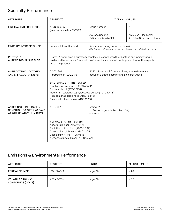## Specialty Performance

| <b>ATTRIBUTE</b>                                                                                                                                                                                                    | <b>TESTED TO:</b>                                                                                                                                                                                                                                 | <b>TYPICAL VALUES</b>                                                                                              |                                                                                 |  |
|---------------------------------------------------------------------------------------------------------------------------------------------------------------------------------------------------------------------|---------------------------------------------------------------------------------------------------------------------------------------------------------------------------------------------------------------------------------------------------|--------------------------------------------------------------------------------------------------------------------|---------------------------------------------------------------------------------|--|
| FIRE HAZARD PROPERTIES                                                                                                                                                                                              | AS/NZS 3837<br>(In accordance to AS5637.1)                                                                                                                                                                                                        | Group Number                                                                                                       | 3                                                                               |  |
|                                                                                                                                                                                                                     |                                                                                                                                                                                                                                                   | Average Specific<br>Extinction Area (ASEA)                                                                         | 65 m <sup>2</sup> /Kg (Black core)<br>4 m <sup>2</sup> /Kg (Other core colours) |  |
| <b>FINGERPRINT RESISTANCE</b>                                                                                                                                                                                       | Laminex Internal Method                                                                                                                                                                                                                           | Appearance rating not worse than 4<br>Slight change of gloss and/or colour, only visible at certain viewing angles |                                                                                 |  |
| PROTEC+ <sup>®</sup><br><b>ANTIMICROBIAL SURFACE</b>                                                                                                                                                                | Protec+® antimicrobial surface technology, prevents growth of bacteria and inhibits fungus<br>on decorative surfaces. Protec+® provides enhanced antimicrobial protection for the expected<br>life of the product.                                |                                                                                                                    |                                                                                 |  |
| <b>ANTIBACTERIAL ACTIVITY</b><br>AND EFFICACY (24 hours)                                                                                                                                                            | JIS Z 2801<br>Referred to in ISO 22196                                                                                                                                                                                                            | PASS = R value > 2.0 orders of magnitude difference<br>between a treated sample and an inert surface               |                                                                                 |  |
|                                                                                                                                                                                                                     | <b>BACTERIAL STRAINS TESTED:</b><br>Staphylococcus aureus (ATCC 6538P)<br>Escherichia coli (ATCC 8739)<br>Methicillin resistant Staphylococcus aureus (NCTC 12493)<br>Pseudomonas aeruginosa (ATCC 15442)<br>Salmonella chloeraesius (ATCC 10708) |                                                                                                                    |                                                                                 |  |
| ANTIFUNGAL (INCUBATION<br>CONDITION: 30°C FOR 28 DAYS<br>AT 90% RELATIVE HUMIDITY)                                                                                                                                  | ASTM G21                                                                                                                                                                                                                                          | Rating $\leq$ 1<br>1 = Traces of growth (less than 10%)<br>$0 = None$                                              |                                                                                 |  |
| <b>FUNGAL STRAINS TESTED:</b><br>Aspergillius niger (ATCC 9642)<br>Penicillium pinophilum (ATCC 11797)<br>Chaetomium globosum (ATCC 6205)<br>Gliocladium virens (ATCC 9645)<br>Aureobasidium pullulans (ATCC 15233) |                                                                                                                                                                                                                                                   |                                                                                                                    |                                                                                 |  |

#### Emissions & Environmental Performance

| ATTRIBUTE                                    | TESTED TO:  | <b>UNITS</b>        | MEASUREMENT |
|----------------------------------------------|-------------|---------------------|-------------|
| FORMALDEHYDE                                 | ISO 12460-3 | mg/m <sup>2</sup> h | $\leq 1.0$  |
| <b>VOLATILE ORGANIC</b><br>COMPOUNDS (VOC'S) | ASTM D5116  | mg/m <sup>2</sup> h | $\leq 0.5$  |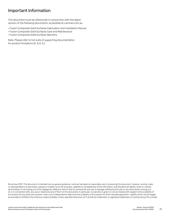### Important Information

This document must be referenced in conjunction with the latest version of the following documents, accessible at Laminex.com.au

- Fusion Composite Solid Surfaces Fabrication and Installation Manual
- Fusion Composite Solid Surfaces Care and Maintenance
- Fusion Composite Solid Surfaces Warranty

Note: Please refer to full suite of supporting documentation for product limitations (E. & O. E.).

© Laminex 2021. This document is intended only as general guidance. Laminex has taken all reasonable care in producing this document, however Laminex make no representations or warranties, express or implied, as to the accuracy, reliability or completeness of the information, and disclaims all liability, direct or indirect (and whether or not arising out of the negligence, default or lack of care of Laminex) for any loss or damage suffered by the user or any other person arising out of, or in connection with, any use or reliance by any of them on this document. In particular, no warranty is given or is to be implied with respect to the suitability of the product for any particular purpose. Users must independently determine the suitability of the product for their intended application. Liability which cannot legally be excluded is limited to the maximum extent possible. Unless specified otherwise, all m and @ are trademarks or registered trademarks of Laminex Group Pty Limited.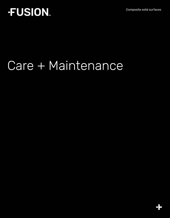Composite solid surfaces

## **FUSION.**

# Care + Maintenance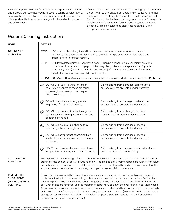Fusion Composite Solid Surfaces have a fingerprint resistant and antimicrobial surface that requires special cleaning considerations. To retain the antimicrobial and fingerprint resistant functionality, it is important that the surface is regularly cleaned of food scraps and oily residues.

If your surface is contaminated with oils, the fingerprint resistance property will be prevented from operating effectively. Note that the fingerprint resistance functionality of the Fusion Composite Solid Surfaces is limited to normal fingerprint sebum. Fingerprints which are heavily contaminated with oils, fats, or commercial greases, will remain evident as glossy stains on the Fusion Composite Solid Surfaces.

### General Cleaning Instructions

| <b>NOTE</b>                                                             | <b>DETAILS</b>                                                                                                                                                                                                                                                                                                                                                                                                                                                                                                                                                                                                                                                                                                                                                                                               |                                                                                          |  |  |  |
|-------------------------------------------------------------------------|--------------------------------------------------------------------------------------------------------------------------------------------------------------------------------------------------------------------------------------------------------------------------------------------------------------------------------------------------------------------------------------------------------------------------------------------------------------------------------------------------------------------------------------------------------------------------------------------------------------------------------------------------------------------------------------------------------------------------------------------------------------------------------------------------------------|------------------------------------------------------------------------------------------|--|--|--|
| DAY TO DAY<br><b>CLEANING</b>                                           | STEP <sub>1</sub><br>USE a mild dishwashing liquid diluted in clean, warm water to remove greasy marks.<br>Dab with a microfibre cloth, wait and wipe away. Final wipe down with a clean dry cloth<br>(microfibre cloth for best results).                                                                                                                                                                                                                                                                                                                                                                                                                                                                                                                                                                   |                                                                                          |  |  |  |
|                                                                         | USE Methylated Spirits or Isopropyl Alcohol ("rubbing alcohol") on a clean microfibre cloth<br>STEP <sub>2</sub><br>to remove oily marks and fingerprints that may disrupt the surface appearance. Dry with<br>a clean dry cloth (microfibre cloth for best results) after any cleaning. Repeat if necessary.<br>Note: Dark colours are more susceptible to showing streaks.                                                                                                                                                                                                                                                                                                                                                                                                                                 |                                                                                          |  |  |  |
|                                                                         | STEP <sub>3</sub><br>USE Windex GLASS cleaner if required to resolve any streaky marks left from cleaning STEPS 1 and 2.                                                                                                                                                                                                                                                                                                                                                                                                                                                                                                                                                                                                                                                                                     |                                                                                          |  |  |  |
|                                                                         | DO NOT use "Spray & Wipe" or similar<br>(w)<br>spray style cleaners as these are found<br>to cause glossy marks on the unique<br>AbsoluteMatte surface                                                                                                                                                                                                                                                                                                                                                                                                                                                                                                                                                                                                                                                       | Claims arising from damaged, dull or etched<br>surfaces are not protected under warranty |  |  |  |
|                                                                         | DO NOT use solvents, strongly acidic<br>(w)<br>(e.g. vinegar) or alkaline cleaners                                                                                                                                                                                                                                                                                                                                                                                                                                                                                                                                                                                                                                                                                                                           | Claims arising from damaged, dull or etched<br>surfaces are not protected under warranty |  |  |  |
|                                                                         | DO NOT use commercial cleaning agents<br>$(\mathsf{w})$<br>as they can contain higher concentrations<br>of strong chemicals                                                                                                                                                                                                                                                                                                                                                                                                                                                                                                                                                                                                                                                                                  | Claims arising from a change of surface<br>gloss are not protected under warranty        |  |  |  |
|                                                                         | DO NOT use waxes or polishes as they<br>$\left(\overline{w}\right)$<br>can change the surface gloss level                                                                                                                                                                                                                                                                                                                                                                                                                                                                                                                                                                                                                                                                                                    | Claims arising from damaged or etched<br>surfaces are not protected under warranty       |  |  |  |
|                                                                         | DO NOT use any product containing high<br>(w)<br>levels of bleach, ammonia, or any solvents<br>or thinners                                                                                                                                                                                                                                                                                                                                                                                                                                                                                                                                                                                                                                                                                                   | Claims arising from damaged or etched<br>surfaces are not protected under warranty       |  |  |  |
|                                                                         | NEVER use abrasive cleaners - even those<br>$\left(\mathsf{w}\right)$<br>in liquid form - as they will mark the surface                                                                                                                                                                                                                                                                                                                                                                                                                                                                                                                                                                                                                                                                                      | Claims arising from damaged or etched surfaces<br>are not protected under warranty       |  |  |  |
| COLOUR-CORE<br><b>EDGE CARE</b>                                         | The exposed colour-core edge of Fusion Composite Solid Surfaces may be subject to a different level of<br>staining to the primary decorative surface and will require additional maintenance particularly for medium<br>and light colours. It is important to IMMEDIATELY remove any spill from the surface. Failure to protect the<br>exposed colour core may result in staining that is permanent or difficult to remove.                                                                                                                                                                                                                                                                                                                                                                                  |                                                                                          |  |  |  |
| <b>REJUVENATE</b><br>THE SURFACE<br><b>(FOR OCCASIONAL</b><br>CLEANING) | If any stains remain from the above cleaning processes, use a melamine sponge with a small amount<br>of dishwashing liquid in clean water to gently spot clean any residual marks on the surface. Gently clean<br>the entire panel using the melamine sponge, regularly rinsing the sponge in the soapy water to remove<br>oils. Once stains are removed, use the melamine sponge to wipe down the entire panel in parallel sweeps.<br>Allow to air dry. Melamine sponges are available from supermarkets and hardware stores, and are typically<br>white in colour an often marketed as "magic sponges" or "magic erasers". (Be careful not to use a scourer<br>sponge or crème cleanser (e.g. Jif) on the Fusion Composite Solid Surfaces as these will abrade the<br>surface and cause permanent damage). |                                                                                          |  |  |  |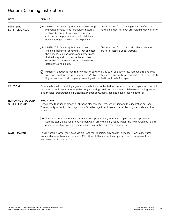## General Cleaning Instructions

| <b>NOTE</b>                                       | <b>DETAILS</b>                                                                                                                                                                                                                                                                                                      |                                                                                                         |  |  |
|---------------------------------------------------|---------------------------------------------------------------------------------------------------------------------------------------------------------------------------------------------------------------------------------------------------------------------------------------------------------------------|---------------------------------------------------------------------------------------------------------|--|--|
| MANAGING<br><b>SURFACE SPILLS</b>                 | IMMEDIATELY clean spills that contain strong<br>(w)<br>pigments or colourants (artificial or natural),<br>such as: beetroot, turmeric and strongly<br>coloured spice preparations, artificial dyes,<br>hair colouring and solvent based pen ink.                                                                    | Claims arising from staining due to artificial or<br>natural pigments are not protected under warranty. |  |  |
|                                                   | IMMEDIATELY clean spills that contain<br>(w)<br>chemicals (artificial or natural), that can etch<br>the surface, such as: grape and berry juices,<br>first aid preparations, concentrated bleach,<br>oven cleaners and concentrated dishwasher<br>detergents and blocks.                                            | Claims arising from chemical surface damage<br>are not protected under warranty.                        |  |  |
|                                                   | IMMEDIATE action is required to remove specialty glues such as Super Glue. Remove straight away<br>(w)<br>with non- acetone nail polish remover. Wash effected area down with water and dry with a soft cloth.<br>If glue has dried, first try gently removing with a plastic (not metal) scraper.                  |                                                                                                         |  |  |
| CAUTION!                                          | Common household staining agents include but are not limited to: turmeric, curry and spice mix, bottled<br>sauce and condiment mixtures with strong colouring, beetroot, coloured cordial bases including frozen<br>ices, medical preparations e.g. Betadine, marker pens, hair & cosmetic dyes, leaking batteries. |                                                                                                         |  |  |
| <b>REMOVING STUBBORN</b><br><b>SURFACE STAINS</b> | <b>IMPORTANT</b><br>Please note that use of bleach or abrasive cleaners may irreversibly damage the decorative surface.<br>The warranty will not protect against surface damage from these extreme cleaning methods, caution<br>is advised.                                                                         |                                                                                                         |  |  |
|                                                   | If a stain cannot be removed with warm soapy water, try Methylated spirits or Isopropyl Alcohol.<br>(w)<br>Dab the stain, leave for 3 minutes then wash off with clean, soapy water (dilute dishwashing liquid)<br>and dry. Finish off with a clean dry cloth (microfibre cloth for best results).                  |                                                                                                         |  |  |
| <b>WATER MARKS</b>                                | The minerals in water may leave visible trace marks particularly on dark surfaces. Always dry water<br>from surfaces with a clean dry cloth. Microfibre cloths are particularly effective for simple routine<br>maintenance of this condition.                                                                      |                                                                                                         |  |  |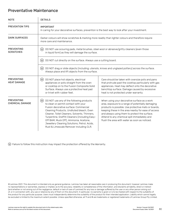#### Preventative Maintenance

| <b>NOTE</b>                             | <b>DETAILS</b>                                                                                                                                                                                                                                                                                                                                                                                                       |                                                                                                                                                                                                                                                                                                                                                                    |  |  |
|-----------------------------------------|----------------------------------------------------------------------------------------------------------------------------------------------------------------------------------------------------------------------------------------------------------------------------------------------------------------------------------------------------------------------------------------------------------------------|--------------------------------------------------------------------------------------------------------------------------------------------------------------------------------------------------------------------------------------------------------------------------------------------------------------------------------------------------------------------|--|--|
| PREVENTION TIPS                         | <b>IMPORTANT</b><br>In caring for your decorative surfaces, prevention is the best way to look after your investment.                                                                                                                                                                                                                                                                                                |                                                                                                                                                                                                                                                                                                                                                                    |  |  |
| <b>DARK SURFACES</b>                    | Darker colours will show scratches & marking more readily than lighter colours and therefore require<br>more care and maintenance.                                                                                                                                                                                                                                                                                   |                                                                                                                                                                                                                                                                                                                                                                    |  |  |
| <b>PREVENTING</b><br><b>SCRATCHES</b>   | DO NOT use scouring pads, metal brushes, steel wool or abrasive/gritty cleaners (even those<br>(w)<br>in liquid form) as they will damage the surface.                                                                                                                                                                                                                                                               |                                                                                                                                                                                                                                                                                                                                                                    |  |  |
|                                         | (w)<br>DO NOT cut directly on the surface. Always use a cutting board.                                                                                                                                                                                                                                                                                                                                               |                                                                                                                                                                                                                                                                                                                                                                    |  |  |
|                                         | DO NOT drag or slide objects (including: utensils, knives and unglazed pottery) across the surface.<br>(w)<br>Always place and lift objects from the surface.                                                                                                                                                                                                                                                        |                                                                                                                                                                                                                                                                                                                                                                    |  |  |
| <b>PREVENTING</b><br><b>HEAT DAMAGE</b> | (w)<br>DO NOT place hot objects, electrical<br>appliances or pots straight from the oven<br>or cooktop on to the Fusion Composite Solid<br>Surface. Always use a protective heat pad<br>or trivet with rubber feet.                                                                                                                                                                                                  | Care should be taken with oversize pots and pans<br>that protrude past the cooktop particularly with gas<br>appliances. Heat may deflect onto the decorative<br>benchtop surface. Damage caused by excessive<br>heat is not protected under warranty.                                                                                                              |  |  |
| <b>PREVENTING</b><br>CHEMICAL DAMAGE    | (w)<br>DO NOT use any of the following products<br>to clean or permit contact with your<br>Fusion decorative surface: Commercial<br>Cleaning Products, Undiluted bleach, Oven<br>Cleaner, Toilet Cleaners, Solvents, Thinners,<br>Turpentine, Graffiti Cleaners (including Easy-<br>Off BAM, Muck Off), Ammonia, Acetone,<br>Jewellery Cleaning Solutions, Petrol, Acids,<br>Rust & Limescale Remover including CLR. | When using your decorative surface as a work<br>area, exposure to a range of potentially damaging<br>products is possible. Use protective mats or boards,<br>keeping these in the area nearby for ease of access<br>and always using them to protect the surface.<br>Attend to any chemical spill immediately and<br>flush the area with water as soon as noticed. |  |  |

Failure to follow this instruction may impact the protection offered by the Warranty.

© Laminex 2021. This document is intended only as general guidance. Laminex has taken all reasonable care in producing this document, however Laminex make no representations or warranties, express or implied, as to the accuracy, reliability or completeness of the information, and disclaims all liability, direct or indirect (and whether or not arising out of the negligence, default or lack of care of Laminex) for any loss or damage suffered by the user or any other person arising out of, or in connection with, any use or reliance by any of them on this document. In particular, no warranty is given or is to be implied with respect to the suitability of the product for any particular purpose. Users must independently determine the suitability of the product for their intended application. Liability which cannot legally be excluded is limited to the maximum extent possible. Unless specified otherwise, all TM and ® are trademarks or registered trademarks of Laminex Group Pty Limited.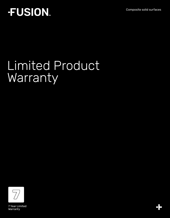Composite solid surfaces

## **FUSION**

## Limited Product **Warranty**



81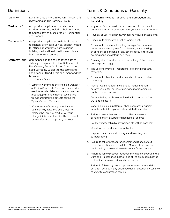## Definitions

- 'Laminex' Laminex Group Pty Limited ABN 98 004 093 092 trading as The Laminex Group.
- 'Residential' Any product application installed in a residential setting, including but not limited to houses, townhouses or multi-residential apartments.
- 'Commercial' Any product application installed in nonresidential premises such as, but not limited to, offices, restaurants, bars, religious buildings, educational, healthcare, private business or retail outlets.
- 'Warranty Term' Commences on the earlier of the date of delivery or payment in full until the end of the Warranty Term for Fusion Composite Solid Surfaces. Subject to the terms and conditions outlinedin this document and the terms and conditions of sale:
	- 1 Laminex warrants to the original purchaser of Fusion Composite Solid surfaces product used for residential or commercial use, the product(s) will, under normal use be free from manufacturing defects during the 7 year Warranty Term; and
	- 2 Where a manufacturing defect arises, Laminex will, at its discretion, repair or replace the Laminex product without charge if it is defective directly as a result of manufacture or supply by Laminex.

### Terms & Conditions of Warranty

- 1. This warranty does not cover any defect/damage caused by:
- a. Any act of God, any natural occurrence, third party act or omission or other circumstances beyond Laminex's control;
- b. Physical abuse, negligence, vandalism, misuse or accidents;
- c. Exposure to excessive direct or radiant heat;
- d. Exposure to moisture, including damage from steam or hot water - water ingress from cleaning, water pooling at or near edge of panel or any other exposure to liquids causing panels to deform as a result;
- e. Staining, discolouration or micro-cracking of the colourcore exposed edge;
- f. The use of solvents or inappropriate cleaning products/ materials;
- g. Exposure to chemical products and acidic or corrosive materials;
- h. Normal 'wear and tear', including without limitation, scratches, scuffs, burns, stains, wipe marks, chipping, dents, cuts on the product;
- i. General fading or discolouration due to direct or indirect UV light exposure;
- j. Variation in colour, pattern or shade of material against sample material, displays and/or printed illustrations;
- k. Failure of any adhesive, caulk, or other accessory, or failure of any caulked or filled joins or seams;
- l. Faulty workmanship by any person other than Laminex;
- m. Unauthorised modification/application;
- n. Inappropriate transport, storage and handling prior to installation;
- o. Failure to follow procedures/recommendations set out in the Fabrication and Installation Manual of the product published by Laminex at www.fusionsurfaces.com.au;
- p. Failure to follow procedures/recommendations set out in the Care and Maintenance instructions of the product published by Laminex at www.fusionsurfaces.com.au;
- q. Failure to follow any product procedures/recommendations set out in set out in any published documentation by Laminex at www.fusionsurfaces.com.au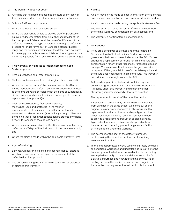#### 2. This warranty does not cover:

- a. Anything that has been disclosed as a feature or limitation of the Laminex product in any literature published by Laminex;
- b. Outdoor & alfresco applications;
- c. Where a defect is trivial or insubstantial;
- d. Where the claimant is unable to provide proof of purchase or equivalent documentation from an authorised retailer of the Laminex product. Where, as at the date of notification of the defect to Laminex, the type or colour of the alleged defective product no longer forms part of Laminex's standard stock range and the person complaining of the defect does not agree to the supply of a replacement which is as close a type or colour match as is possible from Laminex's then prevailing stock range;

#### 3. This warranty only applies to Fusion Composite Solid Surfaces product:

- a. That is purchased on or after 6th April 2021
- b. That has not been moved from their original place of installation;
- c. Where that part or parts of the Laminex product is affected by the manufacturing defect. Laminex will endeavour to repair to the same standard or replace with the same or substantially similar product and colour. Laminex is not obliged to repair or replace any other product(s);
- d. That has been designed, fabricated, installed, maintained, used and protected in the manner recommended by Laminex, in related literature found at www.fusionsurfaces.com.au (alternatively a copy of literature containing these recommendations can be ordered by writing directly to Laminex at the address below);
- e. Where Laminex has received notification of any manufacturing defect within 7 days of the first person to become aware of it; and
- f. Where the claim is made within the applicable Warranty Term.

#### 4. Cost of claiming

- a. Laminex will bear the expense of reasonable labour charges which are necessary for the repair or replacement of the defective Laminex product;
- b. The person claiming the warranty will bear all other expenses of claiming this warranty.

#### 5. Validity

- a. A claim may only be made against this warranty after Laminex has received payment by first purchaser in full for its product;
- b. A claim may only be made during the applicable Warranty Term;
- c. The Warranty Term does not restart if a claim is submitted; the original warranty commencement date applies; and
- d. The warranty is not transferable or assignable.

#### 6. Limitations:

- a. If you are a consumer as defined under the Australian Consumer Law (ACL) the Laminex Products come with guarantees that cannot be excluded under the ACL. You are entitled to a replacement or refund for a major failure and compensation for any other reasonably foreseeable loss or damage. You are also entitled to have the goods repaired or replaced if the goods fail to be of acceptable quality and the failure does not amount to a major failure. This warranty is in addition to your rights under the ACL.
- b. To the extent permitted by law, without limiting your consumer rights under the ACL, Laminex expressly limits its liability under this warranty and under any other statutory guarantee imposed at law to, at its option:
- i. The replacement or repair of the defective product;
- ii. A replacement product may not be reasonably available from Laminex in the same shape, type or colour as the original Laminex product covered by this warranty. If a replacement product of the same shape, type or colour is not reasonably available, Laminex reserves the right to provide a replacement product of as close a shape, type and colour match as is reasonably possible from Laminex's then prevailing product range in satisfaction of its obligations under this warranty.
- iii. The payment of the cost of the defective product, or of repairing the defective product, or of acquiring an equivalent product.
- c. To the extent permitted by law, Laminex expressly excludes all conditions, warranties and undertakings in relation to the Laminex product, whether expressed or implied, including any implied warranty of merchantability or suitability for a particular purpose and not withstanding any course of dealing between the parties or custom and usage in the trade to the contrary, except as set out in this document.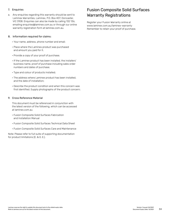#### 7. Enquiries

a. Any enquiries regarding this warranty should be sent to Laminex Warranties, Laminex, P.O. Box 407, Doncaster, VIC 3108. Enquiries can also be made by calling 132 136, emailing enquiries@laminex.com.au or through our online warranty registration form at laminex.com.au.

#### 8. Information required for claims:

- Your name, address, phone number and email;
- Place where the Laminex product was purchased and amount you paid for it.
- Provide a copy of your proof of purchase;
- If the Laminex product has been installed, the installers' business name, proof of purchase including sales order numbers and dates of purchase;
- Type and colour of products installed;
- The address where Laminex product has been installed, and the date of installation;
- Describe the product condition and when this concern was first identified. Supply photographs of the product concern;

#### 9. Cross Reference Material

 This document must be referenced in conjunction with the latest version of the following, which can be accessed at laminex.com.au

- Fusion Composite Solid Surfaces Fabrication and Installation Manual
- Fusion Composite Solid Surfaces Technical Data Sheet
- Fusion Composite Solid Surfaces Care and Maintenance

Note: Please refer to full suite of supporting documentation for product limitations (E. & O. E.).

## Fusion Composite Solid Surfaces Warranty Registrations

Register your Fusion Warranty online at www.laminex.com.au/laminex-warranty Remember to retain your proof of purchase.